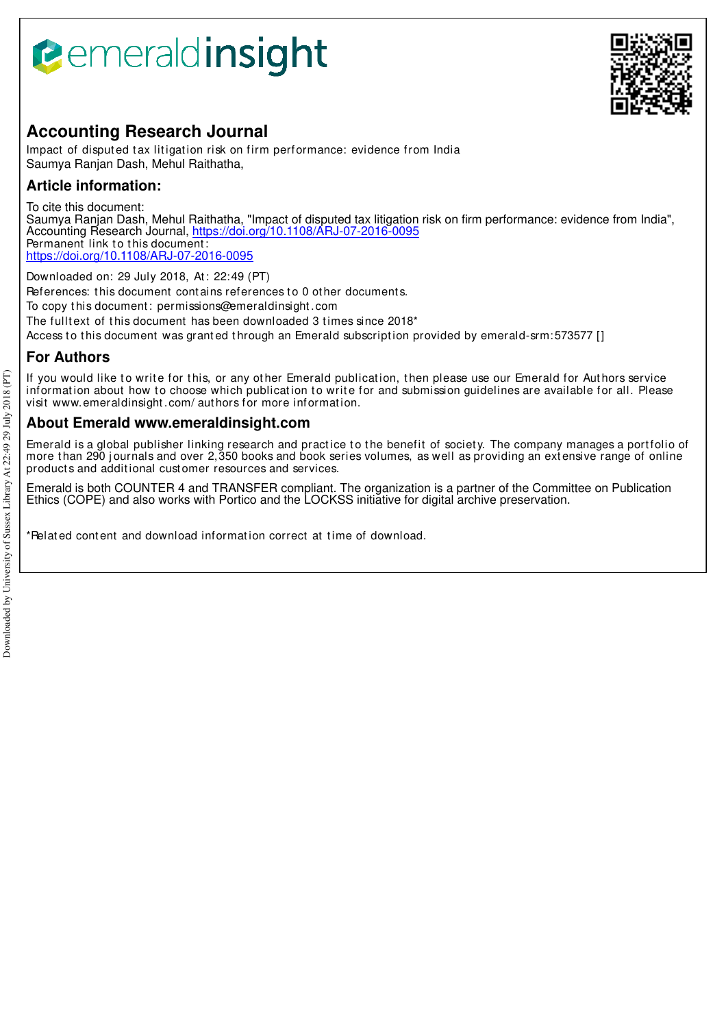# **B**emeraldinsight



# **Accounting Research Journal**

Impact of disputed tax litigation risk on firm performance: evidence from India Saumya Ranjan Dash, Mehul Raithatha,

# **Article information:**

To cite this document: Saumya Ranjan Dash, Mehul Raithatha, "Impact of disputed tax litigation risk on firm performance: evidence from India", Accounting Research Journal, https://doi.org/10.1108/ARJ-07-2016-0095 Permanent link to this document: https://doi.org/10.1108/ARJ-07-2016-0095

Downloaded on: 29 July 2018, At : 22:49 (PT)

References: this document contains references to 0 other documents.

To copy t his document : permissions@emeraldinsight .com

The fulltext of this document has been downloaded 3 times since 2018\*

Access to this document was granted through an Emerald subscription provided by emerald-srm: 573577 []

# **For Authors**

If you would like to write for this, or any other Emerald publication, then please use our Emerald for Authors service information about how to choose which publication to write for and submission guidelines are available for all. Please visit www.emeraldinsight .com/ aut hors for more informat ion.

# **About Emerald www.emeraldinsight.com**

Emerald is a global publisher linking research and practice to the benefit of society. The company manages a portfolio of more than 290 journals and over 2,350 books and book series volumes, as well as providing an extensive range of online product s and addit ional cust omer resources and services.

Emerald is both COUNTER 4 and TRANSFER compliant. The organization is a partner of the Committee on Publication Ethics (COPE) and also works with Portico and the LOCKSS initiative for digital archive preservation.

\*Relat ed cont ent and download informat ion correct at t ime of download.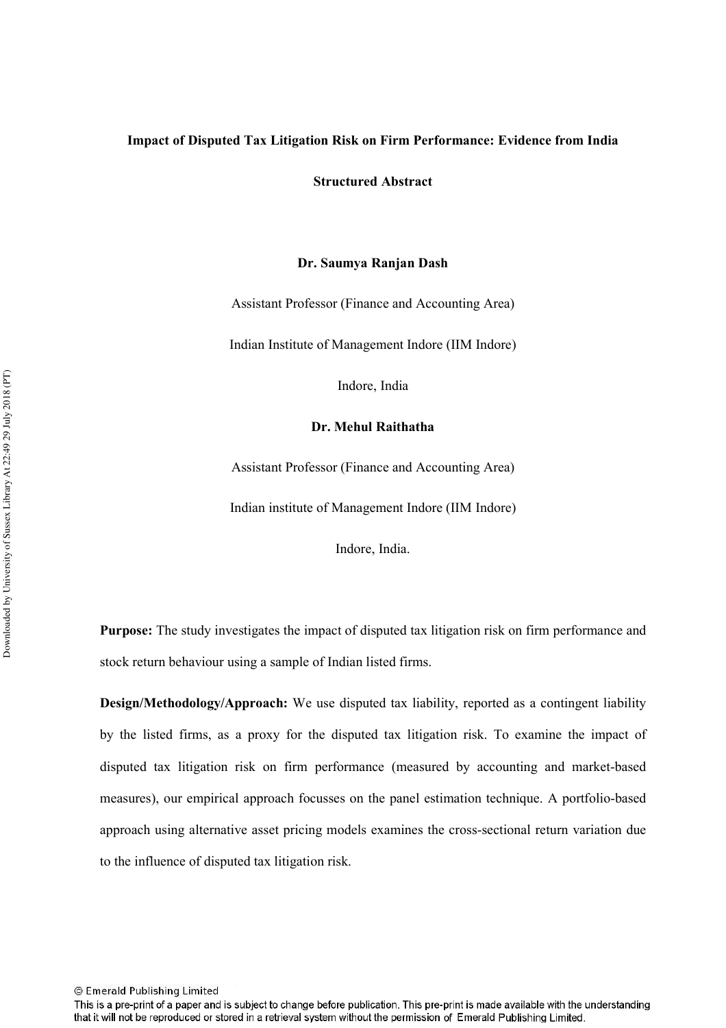## Impact of Disputed Tax Litigation Risk on Firm Performance: Evidence from India

**Structured Abstract** 

#### Dr. Saumya Ranjan Dash

Assistant Professor (Finance and Accounting Area)

Indian Institute of Management Indore (IIM Indore)

Indore, India

#### Dr. Mehul Raithatha

Assistant Professor (Finance and Accounting Area)

Indian institute of Management Indore (IIM Indore)

Indore, India.

Purpose: The study investigates the impact of disputed tax litigation risk on firm performance and stock return behaviour using a sample of Indian listed firms.

**Design/Methodology/Approach:** We use disputed tax liability, reported as a contingent liability by the listed firms, as a proxy for the disputed tax litigation risk. To examine the impact of disputed tax litigation risk on firm performance (measured by accounting and market-based measures), our empirical approach focusses on the panel estimation technique. A portfolio-based approach using alternative asset pricing models examines the cross-sectional return variation due to the influence of disputed tax litigation risk.

This is a pre-print of a paper and is subject to change before publication. This pre-print is made available with the understanding that it will not be reproduced or stored in a retrieval system without the permission of Emerald Publishing Limited.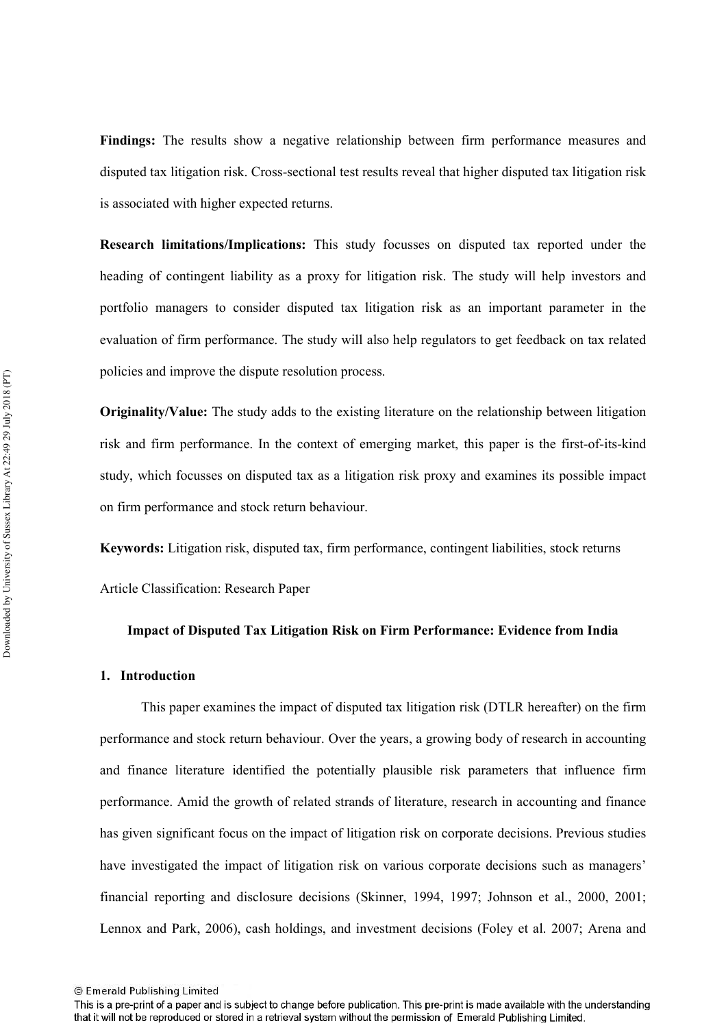Findings: The results show a negative relationship between firm performance measures and disputed tax litigation risk. Cross-sectional test results reveal that higher disputed tax litigation risk is associated with higher expected returns.

**Research limitations/Implications:** This study focusses on disputed tax reported under the heading of contingent liability as a proxy for litigation risk. The study will help investors and portfolio managers to consider disputed tax litigation risk as an important parameter in the evaluation of firm performance. The study will also help regulators to get feedback on tax related policies and improve the dispute resolution process.

**Originality/Value:** The study adds to the existing literature on the relationship between litigation risk and firm performance. In the context of emerging market, this paper is the first-of-its-kind study, which focusses on disputed tax as a litigation risk proxy and examines its possible impact on firm performance and stock return behaviour.

**Keywords:** Litigation risk, disputed tax, firm performance, contingent liabilities, stock returns

Article Classification: Research Paper

#### Impact of Disputed Tax Litigation Risk on Firm Performance: Evidence from India

#### 1. Introduction

This paper examines the impact of disputed tax litigation risk (DTLR hereafter) on the firm performance and stock return behaviour. Over the years, a growing body of research in accounting and finance literature identified the potentially plausible risk parameters that influence firm performance. Amid the growth of related strands of literature, research in accounting and finance has given significant focus on the impact of litigation risk on corporate decisions. Previous studies have investigated the impact of litigation risk on various corporate decisions such as managers' financial reporting and disclosure decisions (Skinner, 1994, 1997; Johnson et al., 2000, 2001; Lennox and Park, 2006), cash holdings, and investment decisions (Foley et al. 2007; Arena and

<sup>©</sup> Emerald Publishing Limited

This is a pre-print of a paper and is subject to change before publication. This pre-print is made available with the understanding that it will not be reproduced or stored in a retrieval system without the permission of Emerald Publishing Limited.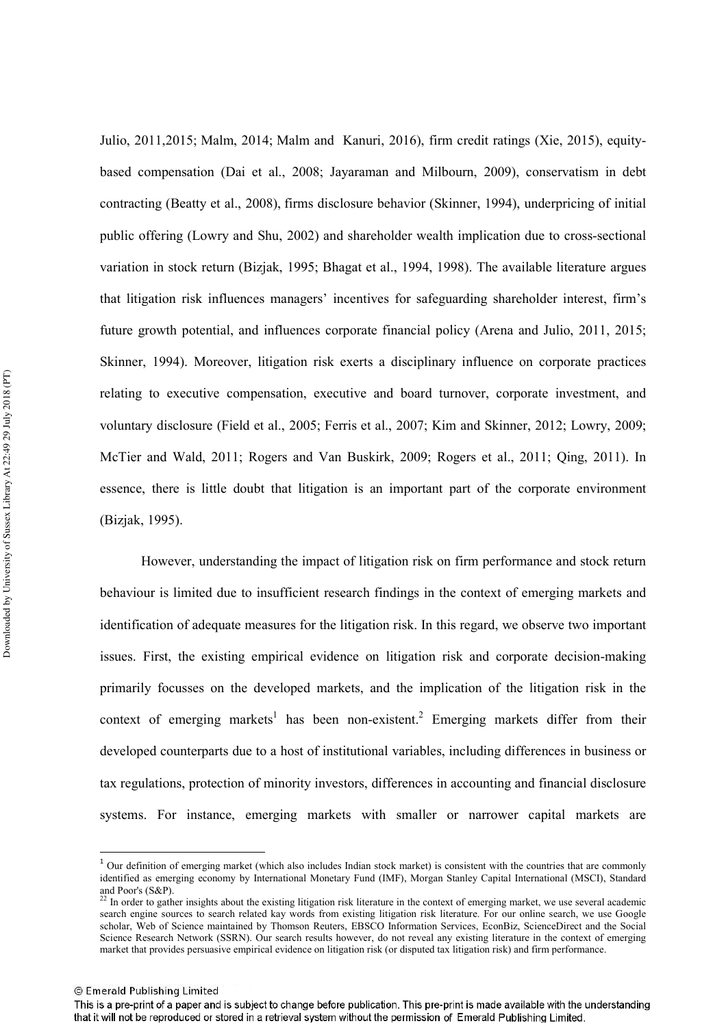Julio, 2011, 2015; Malm, 2014; Malm and Kanuri, 2016), firm credit ratings (Xie, 2015), equitybased compensation (Dai et al., 2008; Jayaraman and Milbourn, 2009), conservatism in debt contracting (Beatty et al., 2008), firms disclosure behavior (Skinner, 1994), underpricing of initial public offering (Lowry and Shu, 2002) and shareholder wealth implication due to cross-sectional variation in stock return (Bizjak, 1995; Bhagat et al., 1994, 1998). The available literature argues that litigation risk influences managers' incentives for safeguarding shareholder interest, firm's future growth potential, and influences corporate financial policy (Arena and Julio, 2011, 2015; Skinner, 1994). Moreover, litigation risk exerts a disciplinary influence on corporate practices relating to executive compensation, executive and board turnover, corporate investment, and voluntary disclosure (Field et al., 2005; Ferris et al., 2007; Kim and Skinner, 2012; Lowry, 2009; McTier and Wald, 2011; Rogers and Van Buskirk, 2009; Rogers et al., 2011; Oing, 2011). In essence, there is little doubt that litigation is an important part of the corporate environment (Bizjak, 1995).

However, understanding the impact of litigation risk on firm performance and stock return behaviour is limited due to insufficient research findings in the context of emerging markets and identification of adequate measures for the litigation risk. In this regard, we observe two important issues. First, the existing empirical evidence on litigation risk and corporate decision-making primarily focusses on the developed markets, and the implication of the litigation risk in the context of emerging markets<sup>1</sup> has been non-existent.<sup>2</sup> Emerging markets differ from their developed counterparts due to a host of institutional variables, including differences in business or tax regulations, protection of minority investors, differences in accounting and financial disclosure systems. For instance, emerging markets with smaller or narrower capital markets are

 $1$  Our definition of emerging market (which also includes Indian stock market) is consistent with the countries that are commonly identified as emerging economy by International Monetary Fund (IMF), Morgan Stanley Capital International (MSCI), Standard and Poor's (S&P).

<sup>&</sup>lt;sup>22</sup> In order to gather insights about the existing litigation risk literature in the context of emerging market, we use several academic search engine sources to search related kay words from existing litigation risk literature. For our online search, we use Google scholar. Web of Science maintained by Thomson Reuters. EBSCO Information Services. EconBiz, ScienceDirect and the Social Science Research Network (SSRN). Our search results however, do not reveal any existing literature in the context of emerging market that provides persuasive empirical evidence on litigation risk (or disputed tax litigation risk) and firm performance.

This is a pre-print of a paper and is subject to change before publication. This pre-print is made available with the understanding that it will not be reproduced or stored in a retrieval system without the permission of Emerald Publishing Limited.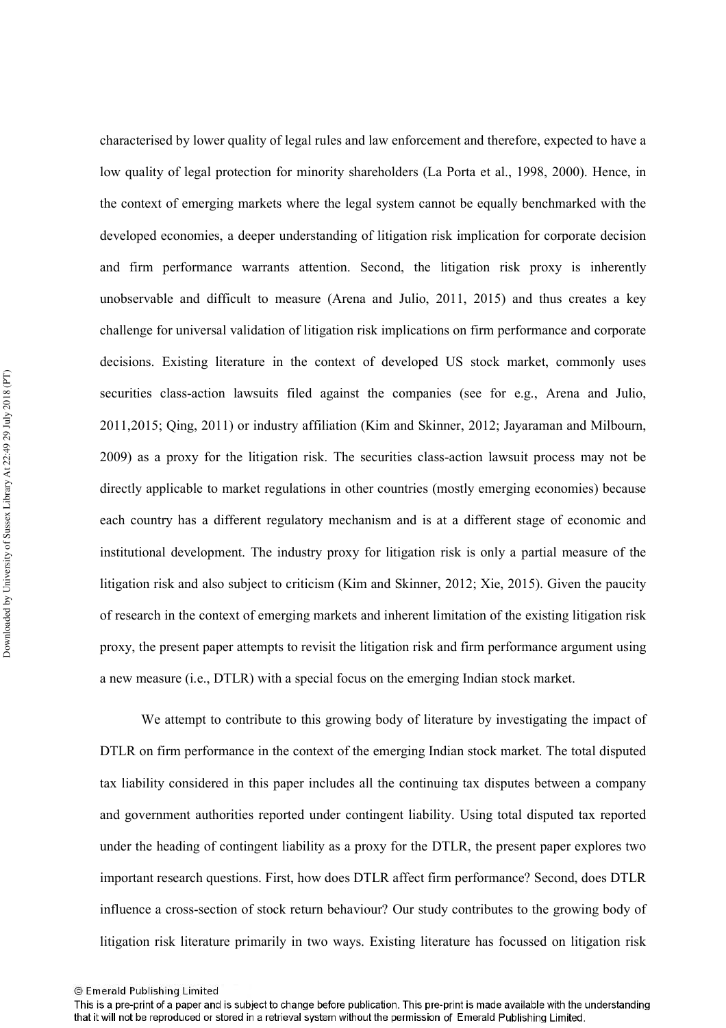characterised by lower quality of legal rules and law enforcement and therefore, expected to have a low quality of legal protection for minority shareholders (La Porta et al., 1998, 2000). Hence, in the context of emerging markets where the legal system cannot be equally benchmarked with the developed economies, a deeper understanding of litigation risk implication for corporate decision and firm performance warrants attention. Second, the litigation risk proxy is inherently unobservable and difficult to measure (Arena and Julio, 2011, 2015) and thus creates a key challenge for universal validation of litigation risk implications on firm performance and corporate decisions. Existing literature in the context of developed US stock market, commonly uses securities class-action lawsuits filed against the companies (see for e.g., Arena and Julio, 2011, 2015; Oing, 2011) or industry affiliation (Kim and Skinner, 2012; Jayaraman and Milbourn, 2009) as a proxy for the litigation risk. The securities class-action lawsuit process may not be directly applicable to market regulations in other countries (mostly emerging economies) because each country has a different regulatory mechanism and is at a different stage of economic and institutional development. The industry proxy for litigation risk is only a partial measure of the litigation risk and also subject to criticism (Kim and Skinner, 2012; Xie, 2015). Given the paucity of research in the context of emerging markets and inherent limitation of the existing litigation risk proxy, the present paper attempts to revisit the litigation risk and firm performance argument using a new measure (i.e., DTLR) with a special focus on the emerging Indian stock market.

We attempt to contribute to this growing body of literature by investigating the impact of DTLR on firm performance in the context of the emerging Indian stock market. The total disputed tax liability considered in this paper includes all the continuing tax disputes between a company and government authorities reported under contingent liability. Using total disputed tax reported under the heading of contingent liability as a proxy for the DTLR, the present paper explores two important research questions. First, how does DTLR affect firm performance? Second, does DTLR influence a cross-section of stock return behaviour? Our study contributes to the growing body of litigation risk literature primarily in two ways. Existing literature has focussed on litigation risk

<sup>©</sup> Emerald Publishing Limited

This is a pre-print of a paper and is subject to change before publication. This pre-print is made available with the understanding that it will not be reproduced or stored in a retrieval system without the permission of Emerald Publishing Limited.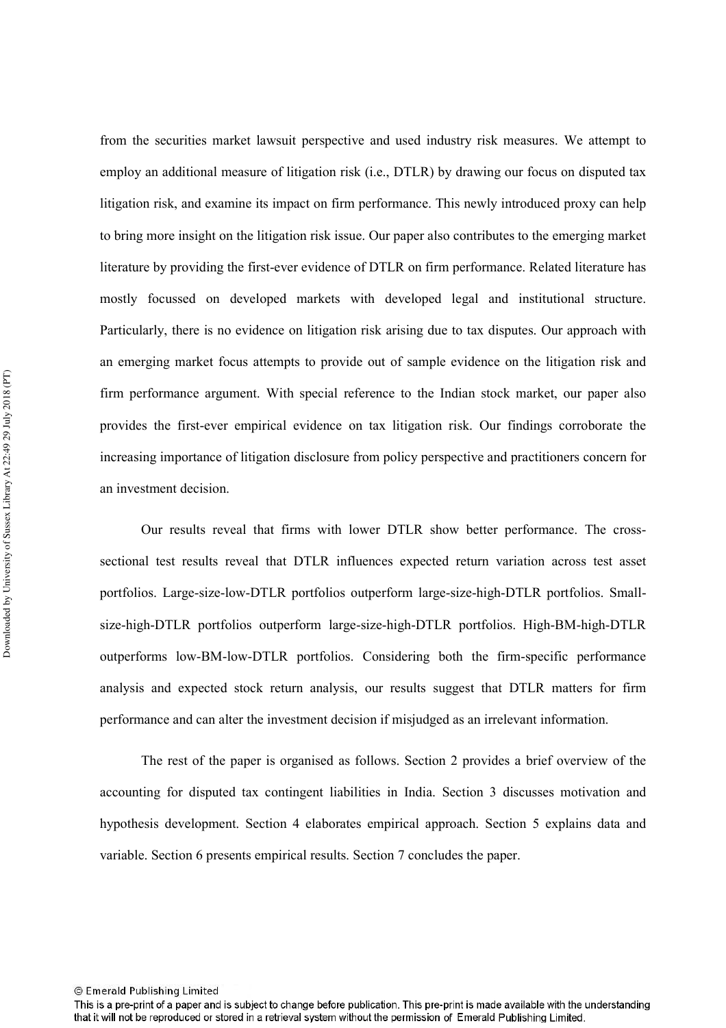from the securities market lawsuit perspective and used industry risk measures. We attempt to employ an additional measure of litigation risk (i.e., DTLR) by drawing our focus on disputed tax litigation risk, and examine its impact on firm performance. This newly introduced proxy can help to bring more insight on the litigation risk issue. Our paper also contributes to the emerging market literature by providing the first-ever evidence of DTLR on firm performance. Related literature has mostly focussed on developed markets with developed legal and institutional structure. Particularly, there is no evidence on litigation risk arising due to tax disputes. Our approach with an emerging market focus attempts to provide out of sample evidence on the litigation risk and firm performance argument. With special reference to the Indian stock market, our paper also provides the first-ever empirical evidence on tax litigation risk. Our findings corroborate the increasing importance of litigation disclosure from policy perspective and practitioners concern for an investment decision.

Our results reveal that firms with lower DTLR show better performance. The crosssectional test results reveal that DTLR influences expected return variation across test asset portfolios. Large-size-low-DTLR portfolios outperform large-size-high-DTLR portfolios. Smallsize-high-DTLR portfolios outperform large-size-high-DTLR portfolios. High-BM-high-DTLR outperforms low-BM-low-DTLR portfolios. Considering both the firm-specific performance analysis and expected stock return analysis, our results suggest that DTLR matters for firm performance and can alter the investment decision if misjudged as an irrelevant information.

The rest of the paper is organised as follows. Section 2 provides a brief overview of the accounting for disputed tax contingent liabilities in India. Section 3 discusses motivation and hypothesis development. Section 4 elaborates empirical approach. Section 5 explains data and variable. Section 6 presents empirical results. Section 7 concludes the paper.

This is a pre-print of a paper and is subject to change before publication. This pre-print is made available with the understanding that it will not be reproduced or stored in a retrieval system without the permission of Emerald Publishing Limited.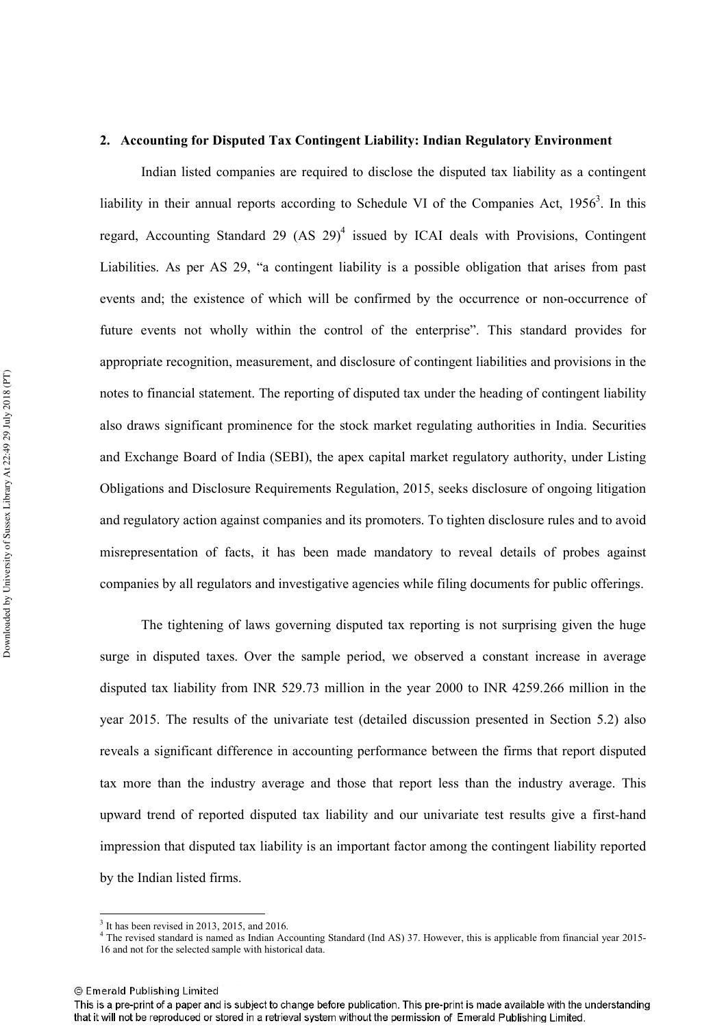#### 2. Accounting for Disputed Tax Contingent Liability: Indian Regulatory Environment

Indian listed companies are required to disclose the disputed tax liability as a contingent liability in their annual reports according to Schedule VI of the Companies Act,  $1956^3$ . In this regard, Accounting Standard 29 (AS 29)<sup>4</sup> issued by ICAI deals with Provisions, Contingent Liabilities. As per AS 29, "a contingent liability is a possible obligation that arises from past events and; the existence of which will be confirmed by the occurrence or non-occurrence of future events not wholly within the control of the enterprise". This standard provides for appropriate recognition, measurement, and disclosure of contingent liabilities and provisions in the notes to financial statement. The reporting of disputed tax under the heading of contingent liability also draws significant prominence for the stock market regulating authorities in India. Securities and Exchange Board of India (SEBI), the apex capital market regulatory authority, under Listing Obligations and Disclosure Requirements Regulation, 2015, seeks disclosure of ongoing litigation and regulatory action against companies and its promoters. To tighten disclosure rules and to avoid misrepresentation of facts, it has been made mandatory to reveal details of probes against companies by all regulators and investigative agencies while filing documents for public offerings.

The tightening of laws governing disputed tax reporting is not surprising given the huge surge in disputed taxes. Over the sample period, we observed a constant increase in average disputed tax liability from INR 529.73 million in the year 2000 to INR 4259.266 million in the year 2015. The results of the univariate test (detailed discussion presented in Section 5.2) also reveals a significant difference in accounting performance between the firms that report disputed tax more than the industry average and those that report less than the industry average. This upward trend of reported disputed tax liability and our univariate test results give a first-hand impression that disputed tax liability is an important factor among the contingent liability reported by the Indian listed firms.

 $3$  It has been revised in 2013, 2015, and 2016.

<sup>&</sup>lt;sup>4</sup> The revised standard is named as Indian Accounting Standard (Ind AS) 37. However, this is applicable from financial year 2015-16 and not for the selected sample with historical data

This is a pre-print of a paper and is subject to change before publication. This pre-print is made available with the understanding that it will not be reproduced or stored in a retrieval system without the permission of Emerald Publishing Limited.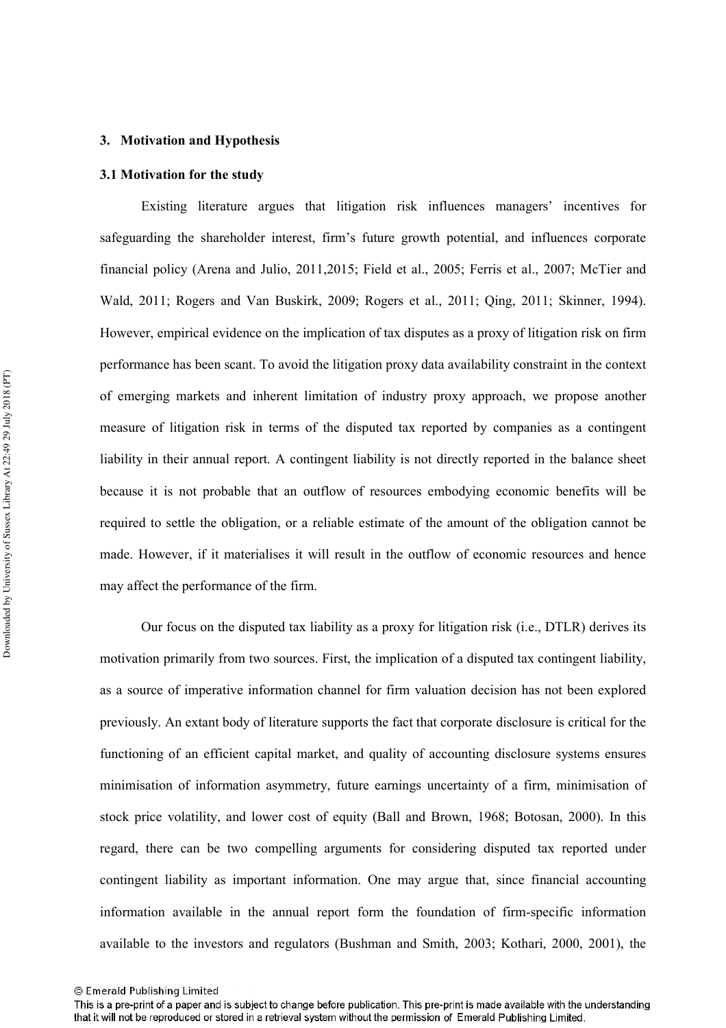#### 3. Motivation and Hypothesis

#### 3.1 Motivation for the study

Existing literature argues that litigation risk influences managers' incentives for safeguarding the shareholder interest, firm's future growth potential, and influences corporate financial policy (Arena and Julio, 2011, 2015; Field et al., 2005; Ferris et al., 2007; McTier and Wald, 2011; Rogers and Van Buskirk, 2009; Rogers et al., 2011; Oing, 2011; Skinner, 1994). However, empirical evidence on the implication of tax disputes as a proxy of litigation risk on firm performance has been scant. To avoid the litigation proxy data availability constraint in the context of emerging markets and inherent limitation of industry proxy approach, we propose another measure of litigation risk in terms of the disputed tax reported by companies as a contingent liability in their annual report. A contingent liability is not directly reported in the balance sheet because it is not probable that an outflow of resources embodying economic benefits will be required to settle the obligation, or a reliable estimate of the amount of the obligation cannot be made. However, if it materialises it will result in the outflow of economic resources and hence may affect the performance of the firm.

Our focus on the disputed tax liability as a proxy for litigation risk (i.e., DTLR) derives its motivation primarily from two sources. First, the implication of a disputed tax contingent liability, as a source of imperative information channel for firm valuation decision has not been explored previously. An extant body of literature supports the fact that corporate disclosure is critical for the functioning of an efficient capital market, and quality of accounting disclosure systems ensures minimisation of information asymmetry, future earnings uncertainty of a firm, minimisation of stock price volatility, and lower cost of equity (Ball and Brown, 1968; Botosan, 2000). In this regard, there can be two compelling arguments for considering disputed tax reported under contingent liability as important information. One may argue that, since financial accounting information available in the annual report form the foundation of firm-specific information available to the investors and regulators (Bushman and Smith, 2003; Kothari, 2000, 2001), the

<sup>©</sup> Emerald Publishing Limited

This is a pre-print of a paper and is subject to change before publication. This pre-print is made available with the understanding that it will not be reproduced or stored in a retrieval system without the permission of Emerald Publishing Limited.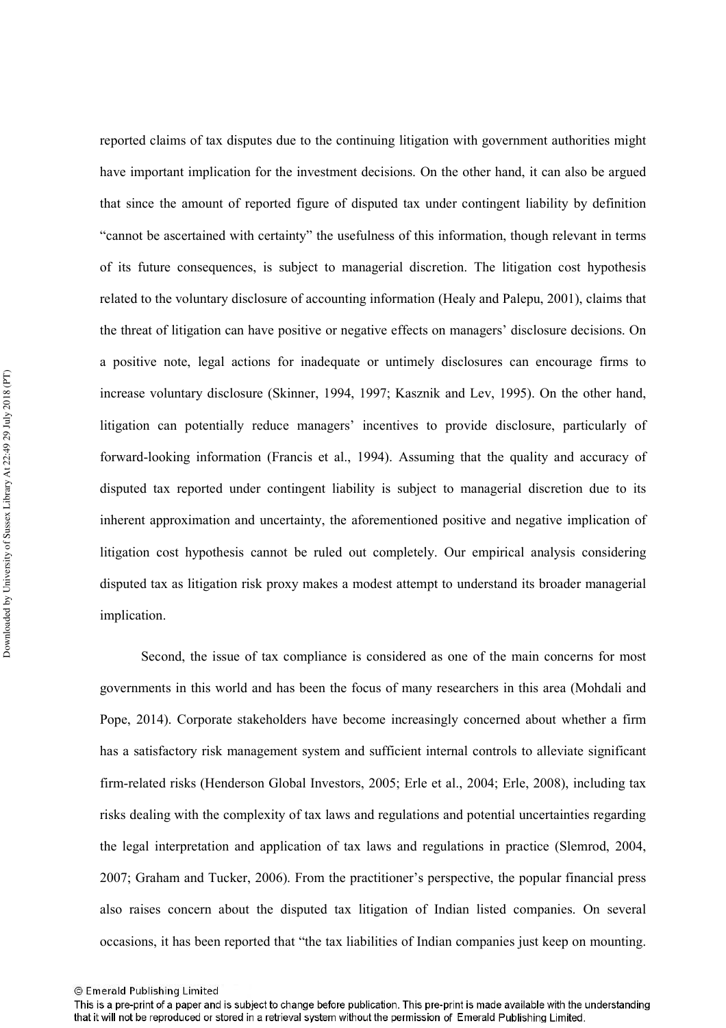reported claims of tax disputes due to the continuing litigation with government authorities might have important implication for the investment decisions. On the other hand, it can also be argued that since the amount of reported figure of disputed tax under contingent liability by definition "cannot be ascertained with certainty" the usefulness of this information, though relevant in terms of its future consequences, is subject to managerial discretion. The litigation cost hypothesis related to the voluntary disclosure of accounting information (Healy and Palepu, 2001), claims that the threat of litigation can have positive or negative effects on managers' disclosure decisions. On a positive note, legal actions for inadequate or untimely disclosures can encourage firms to increase voluntary disclosure (Skinner, 1994, 1997; Kasznik and Lev, 1995). On the other hand, litigation can potentially reduce managers' incentives to provide disclosure, particularly of forward-looking information (Francis et al., 1994). Assuming that the quality and accuracy of disputed tax reported under contingent liability is subject to managerial discretion due to its inherent approximation and uncertainty, the aforementioned positive and negative implication of litigation cost hypothesis cannot be ruled out completely. Our empirical analysis considering disputed tax as litigation risk proxy makes a modest attempt to understand its broader managerial implication.

Second, the issue of tax compliance is considered as one of the main concerns for most governments in this world and has been the focus of many researchers in this area (Mohdali and Pope, 2014). Corporate stakeholders have become increasingly concerned about whether a firm has a satisfactory risk management system and sufficient internal controls to alleviate significant firm-related risks (Henderson Global Investors, 2005; Erle et al., 2004; Erle, 2008), including tax risks dealing with the complexity of tax laws and regulations and potential uncertainties regarding the legal interpretation and application of tax laws and regulations in practice (Slemrod, 2004, 2007; Graham and Tucker, 2006). From the practitioner's perspective, the popular financial press also raises concern about the disputed tax litigation of Indian listed companies. On several occasions, it has been reported that "the tax liabilities of Indian companies just keep on mounting.

<sup>©</sup> Emerald Publishing Limited

This is a pre-print of a paper and is subject to change before publication. This pre-print is made available with the understanding that it will not be reproduced or stored in a retrieval system without the permission of Emerald Publishing Limited.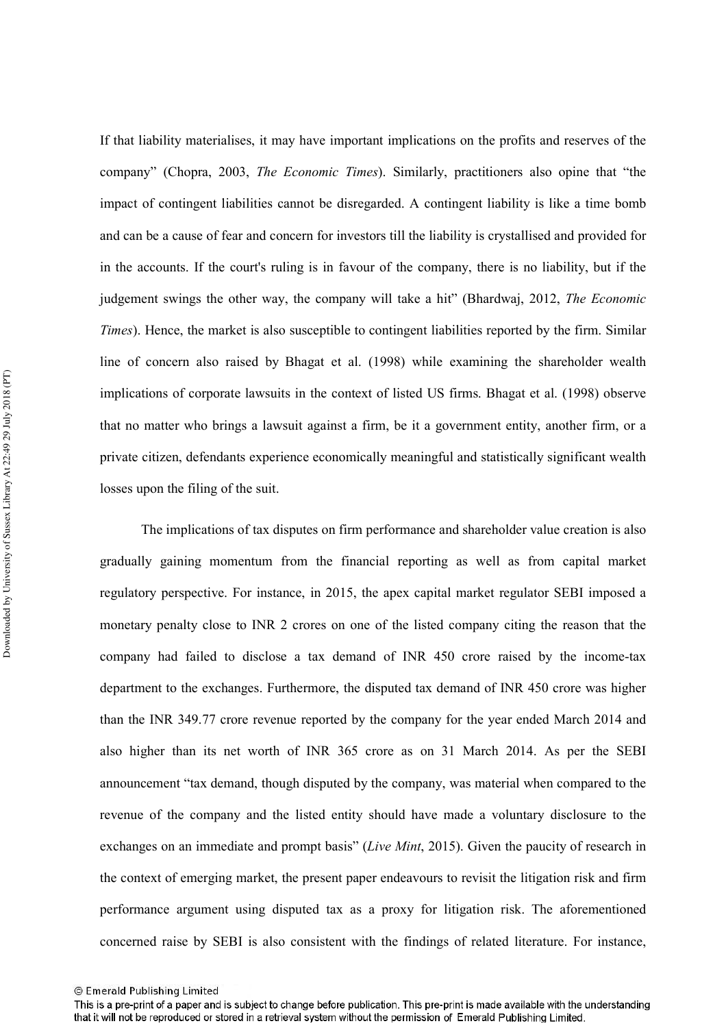If that liability materialises, it may have important implications on the profits and reserves of the company" (Chopra, 2003, The Economic Times). Similarly, practitioners also opine that "the impact of contingent liabilities cannot be disregarded. A contingent liability is like a time bomb and can be a cause of fear and concern for investors till the liability is crystallised and provided for in the accounts. If the court's ruling is in favour of the company, there is no liability, but if the judgement swings the other way, the company will take a hit" (Bhardwaj, 2012, The Economic Times). Hence, the market is also susceptible to contingent liabilities reported by the firm. Similar line of concern also raised by Bhagat et al. (1998) while examining the shareholder wealth implications of corporate lawsuits in the context of listed US firms. Bhagat et al. (1998) observe that no matter who brings a lawsuit against a firm, be it a government entity, another firm, or a private citizen, defendants experience economically meaningful and statistically significant wealth losses upon the filing of the suit.

The implications of tax disputes on firm performance and shareholder value creation is also gradually gaining momentum from the financial reporting as well as from capital market regulatory perspective. For instance, in 2015, the apex capital market regulator SEBI imposed a monetary penalty close to INR 2 crores on one of the listed company citing the reason that the company had failed to disclose a tax demand of INR 450 crore raised by the income-tax department to the exchanges. Furthermore, the disputed tax demand of INR 450 crore was higher than the INR 349.77 crore revenue reported by the company for the year ended March 2014 and also higher than its net worth of INR 365 crore as on 31 March 2014. As per the SEBI announcement "tax demand, though disputed by the company, was material when compared to the revenue of the company and the listed entity should have made a voluntary disclosure to the exchanges on an immediate and prompt basis" (Live Mint, 2015). Given the paucity of research in the context of emerging market, the present paper endeavours to revisit the litigation risk and firm performance argument using disputed tax as a proxy for litigation risk. The aforementioned concerned raise by SEBI is also consistent with the findings of related literature. For instance,

<sup>©</sup> Emerald Publishing Limited

This is a pre-print of a paper and is subject to change before publication. This pre-print is made available with the understanding that it will not be reproduced or stored in a retrieval system without the permission of Emerald Publishing Limited.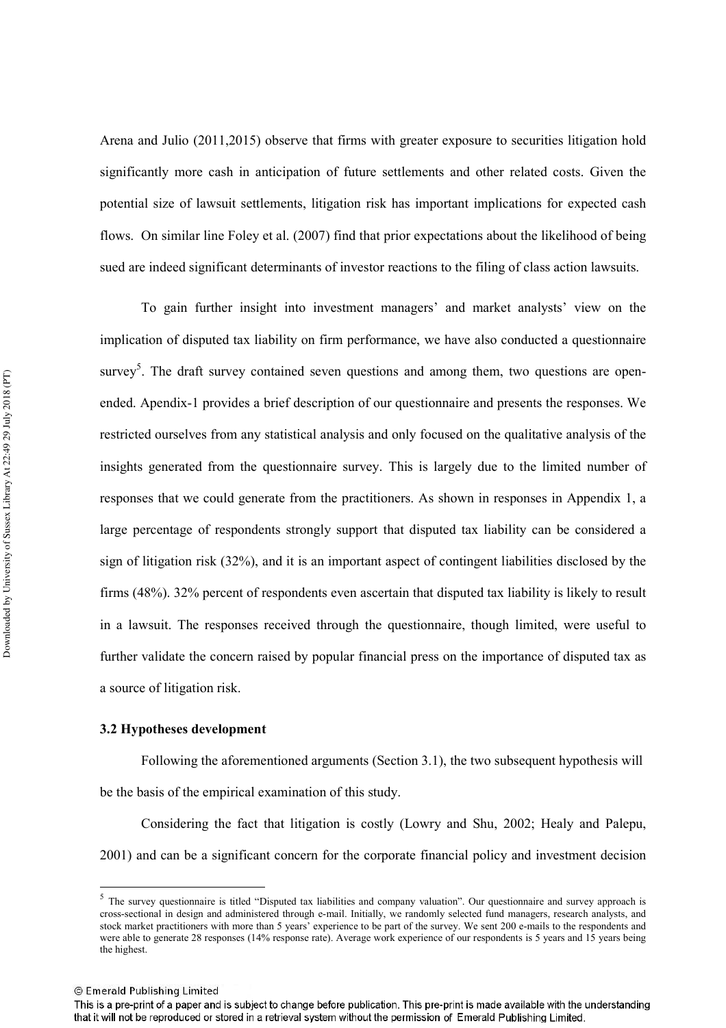Arena and Julio (2011,2015) observe that firms with greater exposure to securities litigation hold significantly more cash in anticipation of future settlements and other related costs. Given the potential size of lawsuit settlements, litigation risk has important implications for expected cash flows. On similar line Foley et al. (2007) find that prior expectations about the likelihood of being sued are indeed significant determinants of investor reactions to the filing of class action lawsuits.

To gain further insight into investment managers' and market analysts' view on the implication of disputed tax liability on firm performance, we have also conducted a questionnaire survey<sup>5</sup>. The draft survey contained seven questions and among them, two questions are openended. Apendix-1 provides a brief description of our questionnaire and presents the responses. We restricted ourselves from any statistical analysis and only focused on the qualitative analysis of the insights generated from the questionnaire survey. This is largely due to the limited number of responses that we could generate from the practitioners. As shown in responses in Appendix 1, a large percentage of respondents strongly support that disputed tax liability can be considered a sign of litigation risk (32%), and it is an important aspect of contingent liabilities disclosed by the firms (48%). 32% percent of respondents even ascertain that disputed tax liability is likely to result in a lawsuit. The responses received through the questionnaire, though limited, were useful to further validate the concern raised by popular financial press on the importance of disputed tax as a source of litigation risk.

#### 3.2 Hypotheses development

Following the aforementioned arguments (Section 3.1), the two subsequent hypothesis will be the basis of the empirical examination of this study.

Considering the fact that litigation is costly (Lowry and Shu, 2002; Healy and Palepu, 2001) and can be a significant concern for the corporate financial policy and investment decision

<sup>&</sup>lt;sup>5</sup> The survey questionnaire is titled "Disputed tax liabilities and company valuation". Our questionnaire and survey approach is cross-sectional in design and administered through e-mail. Initially, we randomly selected fund managers, research analysts, and stock market practitioners with more than 5 years' experience to be part of the survey. We sent 200 e-mails to the respondents and were able to generate 28 responses (14% response rate). Average work experience of our respondents is 5 years and 15 years being the highest.

<sup>©</sup> Emerald Publishing Limited

This is a pre-print of a paper and is subject to change before publication. This pre-print is made available with the understanding that it will not be reproduced or stored in a retrieval system without the permission of Emerald Publishing Limited.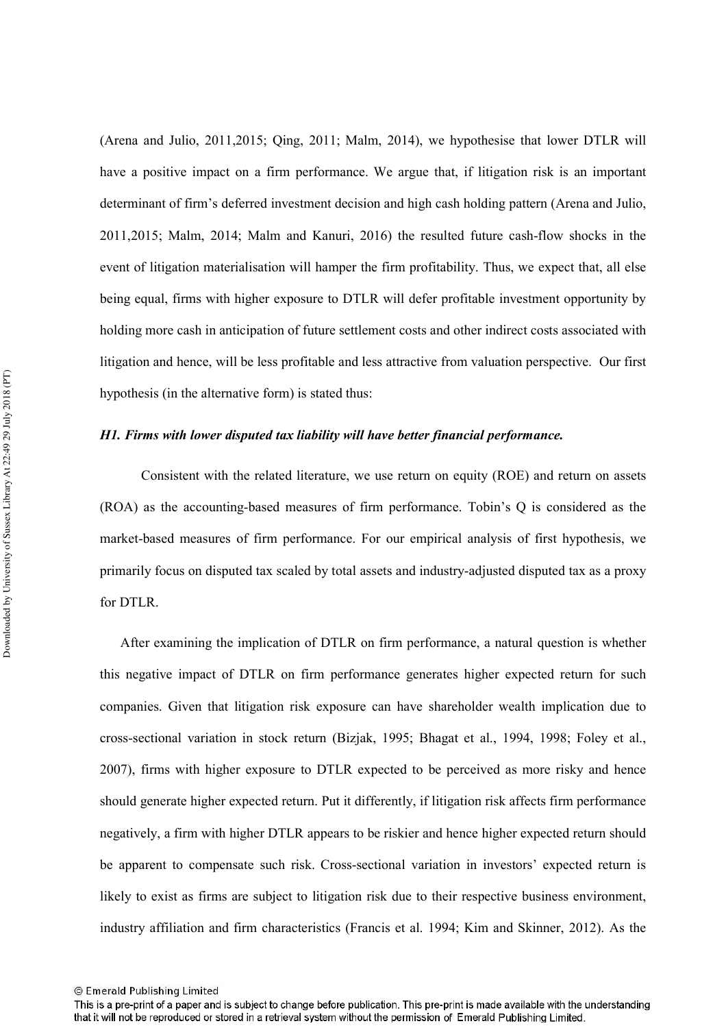(Arena and Julio, 2011,2015; Qing, 2011; Malm, 2014), we hypothesise that lower DTLR will have a positive impact on a firm performance. We argue that, if litigation risk is an important determinant of firm's deferred investment decision and high cash holding pattern (Arena and Julio, 2011, 2015; Malm, 2014; Malm and Kanuri, 2016) the resulted future cash-flow shocks in the event of litigation materialisation will hamper the firm profitability. Thus, we expect that, all else being equal, firms with higher exposure to DTLR will defer profitable investment opportunity by holding more cash in anticipation of future settlement costs and other indirect costs associated with litigation and hence, will be less profitable and less attractive from valuation perspective. Our first hypothesis (in the alternative form) is stated thus:

#### H1. Firms with lower disputed tax liability will have better financial performance.

Consistent with the related literature, we use return on equity (ROE) and return on assets (ROA) as the accounting-based measures of firm performance. Tobin's O is considered as the market-based measures of firm performance. For our empirical analysis of first hypothesis, we primarily focus on disputed tax scaled by total assets and industry-adjusted disputed tax as a proxy for DTLR.

After examining the implication of DTLR on firm performance, a natural question is whether this negative impact of DTLR on firm performance generates higher expected return for such companies. Given that litigation risk exposure can have shareholder wealth implication due to cross-sectional variation in stock return (Bizjak, 1995; Bhagat et al., 1994, 1998; Foley et al., 2007), firms with higher exposure to DTLR expected to be perceived as more risky and hence should generate higher expected return. Put it differently, if litigation risk affects firm performance negatively, a firm with higher DTLR appears to be riskier and hence higher expected return should be apparent to compensate such risk. Cross-sectional variation in investors' expected return is likely to exist as firms are subject to litigation risk due to their respective business environment, industry affiliation and firm characteristics (Francis et al. 1994; Kim and Skinner, 2012). As the

<sup>©</sup> Emerald Publishing Limited

This is a pre-print of a paper and is subject to change before publication. This pre-print is made available with the understanding that it will not be reproduced or stored in a retrieval system without the permission of Emerald Publishing Limited.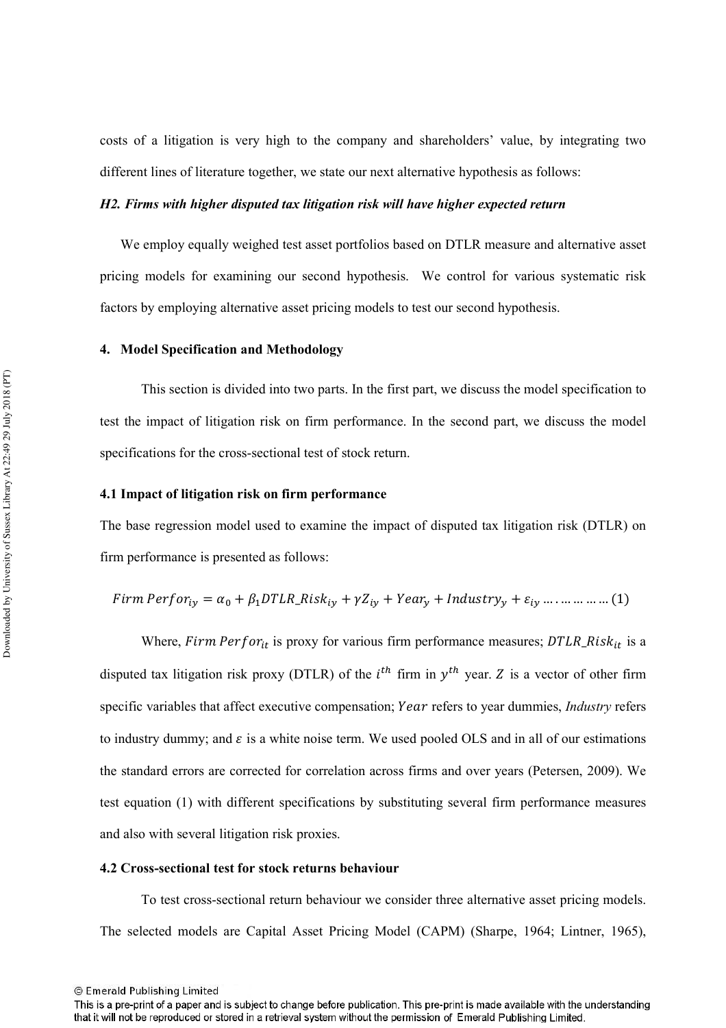costs of a litigation is very high to the company and shareholders' value, by integrating two different lines of literature together, we state our next alternative hypothesis as follows:

#### H2. Firms with higher disputed tax litigation risk will have higher expected return

We employ equally weighed test asset portfolios based on DTLR measure and alternative asset pricing models for examining our second hypothesis. We control for various systematic risk factors by employing alternative asset pricing models to test our second hypothesis.

#### 4. Model Specification and Methodology

This section is divided into two parts. In the first part, we discuss the model specification to test the impact of litigation risk on firm performance. In the second part, we discuss the model specifications for the cross-sectional test of stock return.

#### 4.1 Impact of litigation risk on firm performance

The base regression model used to examine the impact of disputed tax litigation risk (DTLR) on firm performance is presented as follows:

*Firm* 
$$
Perfor_{iy} = \alpha_0 + \beta_1 DTLR_Risk_{iy} + \gamma Z_{iy} + Year_y + Industry_y + \varepsilon_{iy} + \varepsilon_{iy}
$$
 .... ... .... (1)

Where, Firm Perfor<sub>it</sub> is proxy for various firm performance measures; DTLR\_Ris $k_{it}$  is a disputed tax litigation risk proxy (DTLR) of the  $i^{th}$  firm in  $y^{th}$  year. Z is a vector of other firm specific variables that affect executive compensation; Year refers to year dummies, *Industry* refers to industry dummy; and  $\varepsilon$  is a white noise term. We used pooled OLS and in all of our estimations the standard errors are corrected for correlation across firms and over years (Petersen, 2009). We test equation (1) with different specifications by substituting several firm performance measures and also with several litigation risk proxies.

#### 4.2 Cross-sectional test for stock returns behaviour

To test cross-sectional return behaviour we consider three alternative asset pricing models. The selected models are Capital Asset Pricing Model (CAPM) (Sharpe, 1964; Lintner, 1965),

This is a pre-print of a paper and is subject to change before publication. This pre-print is made available with the understanding that it will not be reproduced or stored in a retrieval system without the permission of Emerald Publishing Limited.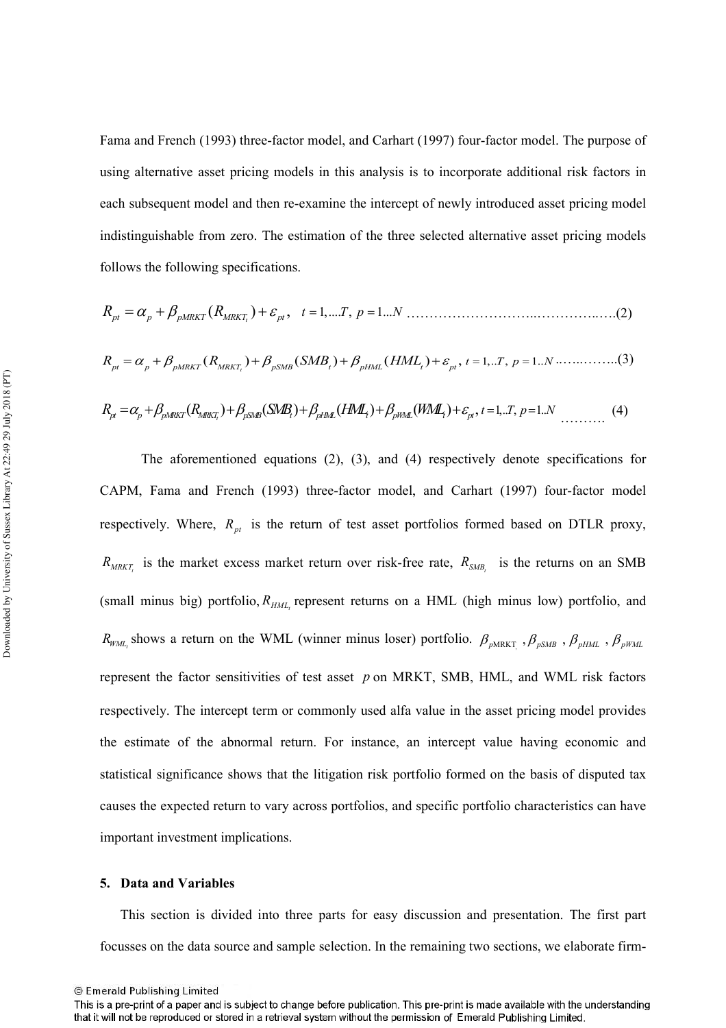Fama and French (1993) three-factor model, and Carhart (1997) four-factor model. The purpose of using alternative asset pricing models in this analysis is to incorporate additional risk factors in each subsequent model and then re-examine the intercept of newly introduced asset pricing model indistinguishable from zero. The estimation of the three selected alternative asset pricing models follows the following specifications.

$$
R_{pt} = \alpha_p + \beta_{pMRKT} (R_{MRKT_i}) + \beta_{pSMB} (SMB_t) + \beta_{pHML} (HML_t) + \varepsilon_{pt}, t = 1,..T, p = 1..N \dots \dots \dots \dots (3)
$$

$$
R_{\mu} = \alpha_{p} + \beta_{pMRKT}(R_{MRKT_{i}}) + \beta_{pSMB}(SMB_{i}) + \beta_{pHM}(HML_{i}) + \beta_{pMM}(WM_{i}) + \varepsilon_{\mu}, t = 1...T, p = 1...N
$$
 (4)

The aforementioned equations  $(2)$ ,  $(3)$ , and  $(4)$  respectively denote specifications for CAPM, Fama and French (1993) three-factor model, and Carhart (1997) four-factor model respectively. Where,  $R_{pt}$  is the return of test asset portfolios formed based on DTLR proxy,  $R_{MRKT_i}$  is the market excess market return over risk-free rate,  $R_{SMB_i}$  is the returns on an SMB (small minus big) portfolio,  $R_{HML}$  represent returns on a HML (high minus low) portfolio, and  $R_{WM_{t}}$  shows a return on the WML (winner minus loser) portfolio.  $\beta_{pMRKT}$ ,  $\beta_{pSMB}$ ,  $\beta_{pHML}$ ,  $\beta_{pWML}$ represent the factor sensitivities of test asset  $p$  on MRKT, SMB, HML, and WML risk factors respectively. The intercept term or commonly used alfa value in the asset pricing model provides the estimate of the abnormal return. For instance, an intercept value having economic and statistical significance shows that the litigation risk portfolio formed on the basis of disputed tax causes the expected return to vary across portfolios, and specific portfolio characteristics can have important investment implications.

#### 5. Data and Variables

This section is divided into three parts for easy discussion and presentation. The first part focusses on the data source and sample selection. In the remaining two sections, we elaborate firm-

<sup>©</sup> Emerald Publishing Limited

This is a pre-print of a paper and is subject to change before publication. This pre-print is made available with the understanding that it will not be reproduced or stored in a retrieval system without the permission of Emerald Publishing Limited.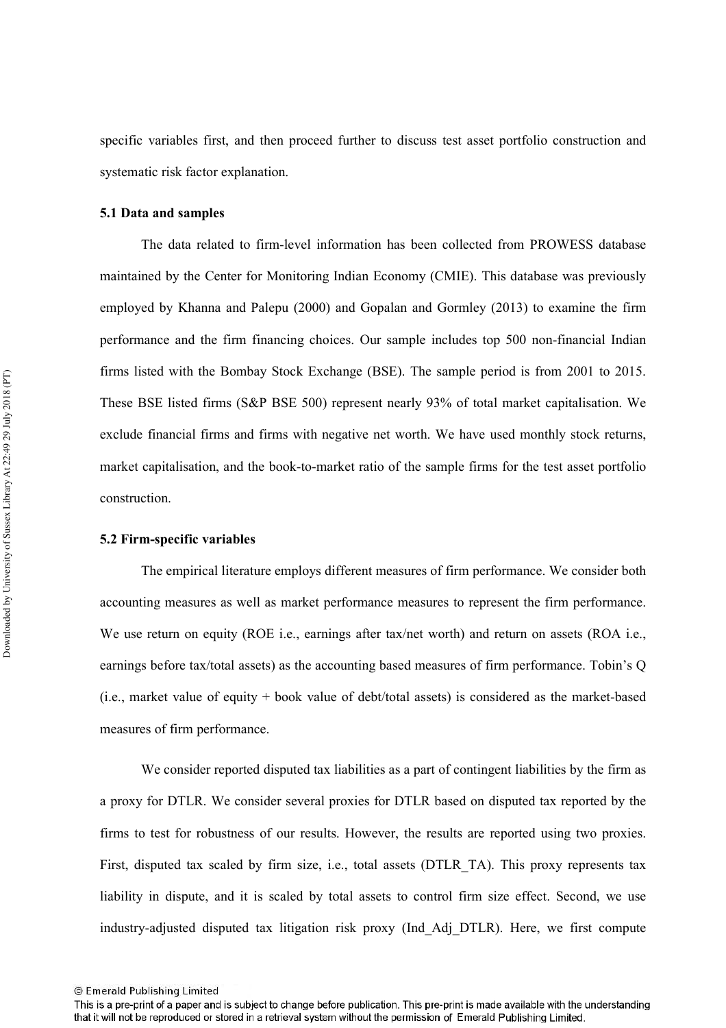specific variables first, and then proceed further to discuss test asset portfolio construction and systematic risk factor explanation.

#### 5.1 Data and samples

The data related to firm-level information has been collected from PROWESS database maintained by the Center for Monitoring Indian Economy (CMIE). This database was previously employed by Khanna and Palepu (2000) and Gopalan and Gormley (2013) to examine the firm performance and the firm financing choices. Our sample includes top 500 non-financial Indian firms listed with the Bombay Stock Exchange (BSE). The sample period is from 2001 to 2015. These BSE listed firms (S&P BSE 500) represent nearly 93% of total market capitalisation. We exclude financial firms and firms with negative net worth. We have used monthly stock returns, market capitalisation, and the book-to-market ratio of the sample firms for the test asset portfolio construction.

#### 5.2 Firm-specific variables

The empirical literature employs different measures of firm performance. We consider both accounting measures as well as market performance measures to represent the firm performance. We use return on equity (ROE i.e., earnings after tax/net worth) and return on assets (ROA i.e., earnings before tax/total assets) as the accounting based measures of firm performance. Tobin's Q (i.e., market value of equity + book value of debt/total assets) is considered as the market-based measures of firm performance.

We consider reported disputed tax liabilities as a part of contingent liabilities by the firm as a proxy for DTLR. We consider several proxies for DTLR based on disputed tax reported by the firms to test for robustness of our results. However, the results are reported using two proxies. First, disputed tax scaled by firm size, i.e., total assets (DTLR TA). This proxy represents tax liability in dispute, and it is scaled by total assets to control firm size effect. Second, we use industry-adjusted disputed tax litigation risk proxy (Ind Adj DTLR). Here, we first compute

<sup>©</sup> Emerald Publishing Limited

This is a pre-print of a paper and is subject to change before publication. This pre-print is made available with the understanding that it will not be reproduced or stored in a retrieval system without the permission of Emerald Publishing Limited.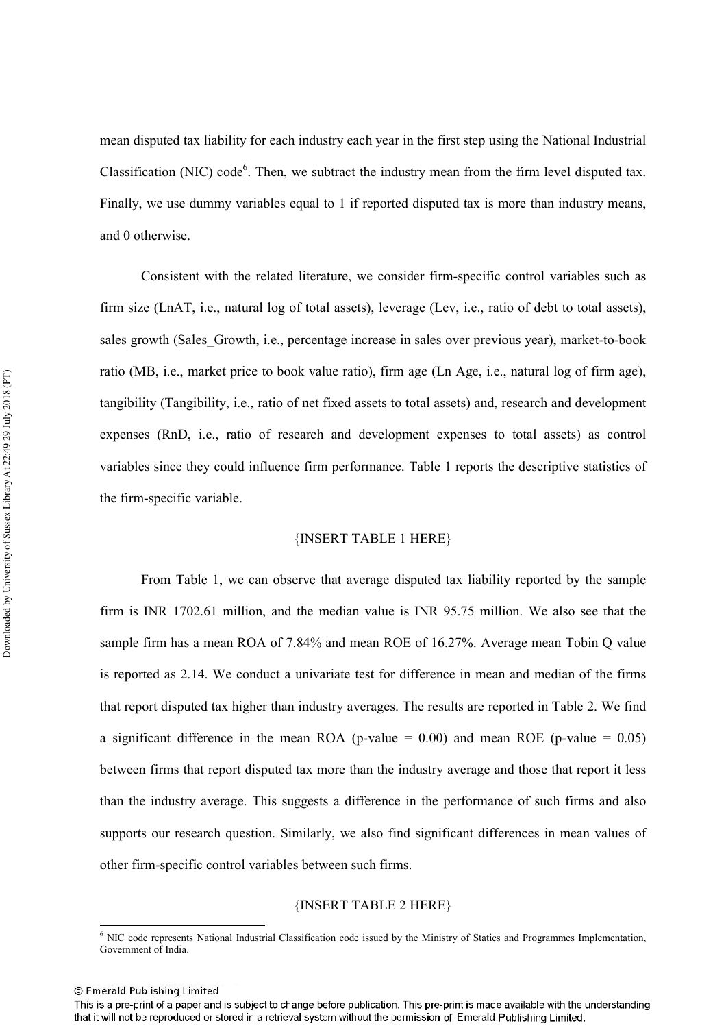mean disputed tax liability for each industry each year in the first step using the National Industrial Classification (NIC) code<sup>6</sup>. Then, we subtract the industry mean from the firm level disputed tax. Finally, we use dummy variables equal to 1 if reported disputed tax is more than industry means, and 0 otherwise.

Consistent with the related literature, we consider firm-specific control variables such as firm size (LnAT, i.e., natural log of total assets), leverage (Lev, i.e., ratio of debt to total assets), sales growth (Sales Growth, i.e., percentage increase in sales over previous year), market-to-book ratio (MB, i.e., market price to book value ratio), firm age (Ln Age, i.e., natural log of firm age), tangibility (Tangibility, i.e., ratio of net fixed assets to total assets) and, research and development expenses (RnD, i.e., ratio of research and development expenses to total assets) as control variables since they could influence firm performance. Table 1 reports the descriptive statistics of the firm-specific variable.

#### {INSERT TABLE 1 HERE}

From Table 1, we can observe that average disputed tax liability reported by the sample firm is INR 1702.61 million, and the median value is INR 95.75 million. We also see that the sample firm has a mean ROA of 7.84% and mean ROE of 16.27%. Average mean Tobin Q value is reported as 2.14. We conduct a univariate test for difference in mean and median of the firms that report disputed tax higher than industry averages. The results are reported in Table 2. We find a significant difference in the mean ROA (p-value =  $0.00$ ) and mean ROE (p-value =  $0.05$ ) between firms that report disputed tax more than the industry average and those that report it less than the industry average. This suggests a difference in the performance of such firms and also supports our research question. Similarly, we also find significant differences in mean values of other firm-specific control variables between such firms.

#### {INSERT TABLE 2 HERE}

<sup>&</sup>lt;sup>6</sup> NIC code represents National Industrial Classification code issued by the Ministry of Statics and Programmes Implementation, Government of India

<sup>©</sup> Emerald Publishing Limited

This is a pre-print of a paper and is subject to change before publication. This pre-print is made available with the understanding that it will not be reproduced or stored in a retrieval system without the permission of Emerald Publishing Limited.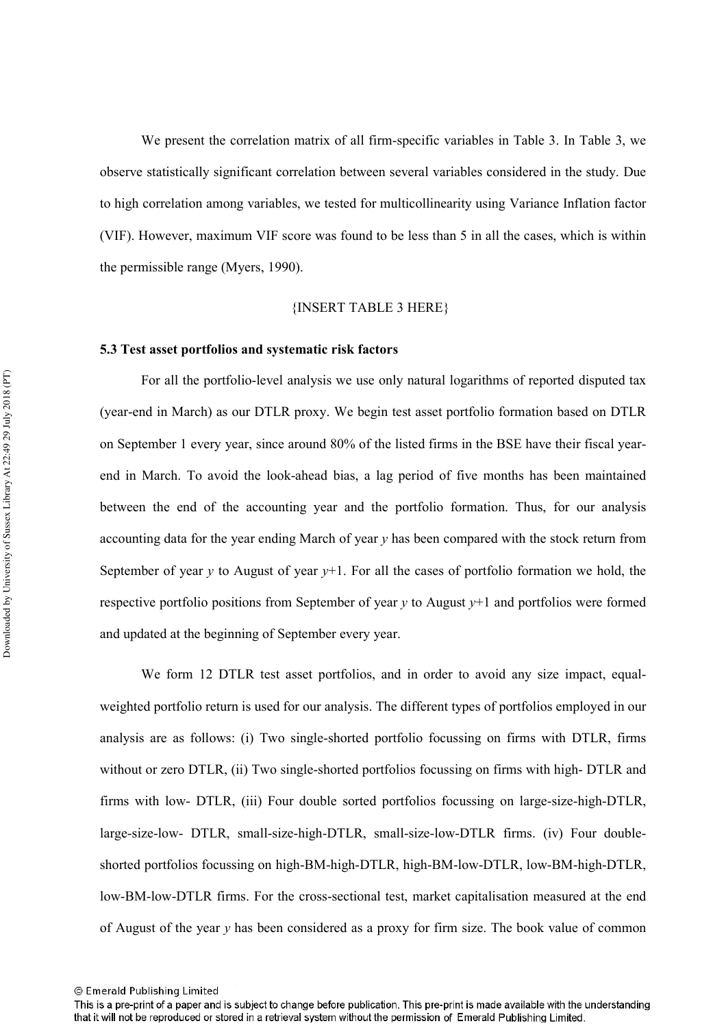We present the correlation matrix of all firm-specific variables in Table 3. In Table 3, we observe statistically significant correlation between several variables considered in the study. Due to high correlation among variables, we tested for multicollinearity using Variance Inflation factor (VIF). However, maximum VIF score was found to be less than 5 in all the cases, which is within the permissible range (Myers, 1990).

#### {INSERT TABLE 3 HERE}

#### 5.3 Test asset portfolios and systematic risk factors

For all the portfolio-level analysis we use only natural logarithms of reported disputed tax (year-end in March) as our DTLR proxy. We begin test asset portfolio formation based on DTLR on September 1 every year, since around 80% of the listed firms in the BSE have their fiscal yearend in March. To avoid the look-ahead bias, a lag period of five months has been maintained between the end of the accounting year and the portfolio formation. Thus, for our analysis accounting data for the year ending March of year y has been compared with the stock return from September of year y to August of year  $y+1$ . For all the cases of portfolio formation we hold, the respective portfolio positions from September of year  $\gamma$  to August  $\gamma+1$  and portfolios were formed and updated at the beginning of September every year.

We form 12 DTLR test asset portfolios, and in order to avoid any size impact, equalweighted portfolio return is used for our analysis. The different types of portfolios employed in our analysis are as follows: (i) Two single-shorted portfolio focussing on firms with DTLR, firms without or zero DTLR, (ii) Two single-shorted portfolios focussing on firms with high-DTLR and firms with low- DTLR, (iii) Four double sorted portfolios focussing on large-size-high-DTLR, large-size-low- DTLR, small-size-high-DTLR, small-size-low-DTLR firms. (iv) Four doubleshorted portfolios focussing on high-BM-high-DTLR, high-BM-low-DTLR, low-BM-high-DTLR, low-BM-low-DTLR firms. For the cross-sectional test, market capitalisation measured at the end of August of the year  $y$  has been considered as a proxy for firm size. The book value of common

<sup>©</sup> Emerald Publishing Limited

This is a pre-print of a paper and is subject to change before publication. This pre-print is made available with the understanding that it will not be reproduced or stored in a retrieval system without the permission of Emerald Publishing Limited.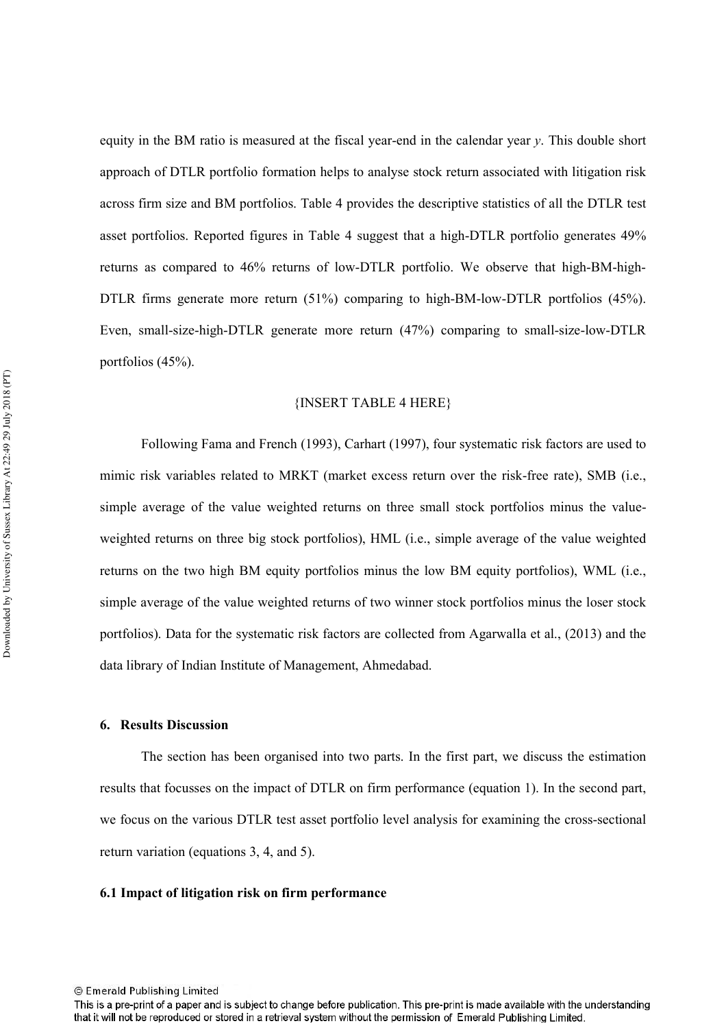equity in the BM ratio is measured at the fiscal year-end in the calendar year  $y$ . This double short approach of DTLR portfolio formation helps to analyse stock return associated with litigation risk across firm size and BM portfolios. Table 4 provides the descriptive statistics of all the DTLR test asset portfolios. Reported figures in Table 4 suggest that a high-DTLR portfolio generates 49% returns as compared to 46% returns of low-DTLR portfolio. We observe that high-BM-high-DTLR firms generate more return  $(51\%)$  comparing to high-BM-low-DTLR portfolios  $(45\%)$ . Even, small-size-high-DTLR generate more return (47%) comparing to small-size-low-DTLR portfolios  $(45\%)$ .

#### {INSERT TABLE 4 HERE}

Following Fama and French (1993), Carhart (1997), four systematic risk factors are used to mimic risk variables related to MRKT (market excess return over the risk-free rate). SMB (i.e., simple average of the value weighted returns on three small stock portfolios minus the valueweighted returns on three big stock portfolios), HML (i.e., simple average of the value weighted returns on the two high BM equity portfolios minus the low BM equity portfolios), WML (i.e., simple average of the value weighted returns of two winner stock portfolios minus the loser stock portfolios). Data for the systematic risk factors are collected from Agarwalla et al., (2013) and the data library of Indian Institute of Management, Ahmedabad.

#### **6. Results Discussion**

The section has been organised into two parts. In the first part, we discuss the estimation results that focusses on the impact of DTLR on firm performance (equation 1). In the second part, we focus on the various DTLR test asset portfolio level analysis for examining the cross-sectional return variation (equations 3, 4, and 5).

## 6.1 Impact of litigation risk on firm performance

This is a pre-print of a paper and is subject to change before publication. This pre-print is made available with the understanding that it will not be reproduced or stored in a retrieval system without the permission of Emerald Publishing Limited.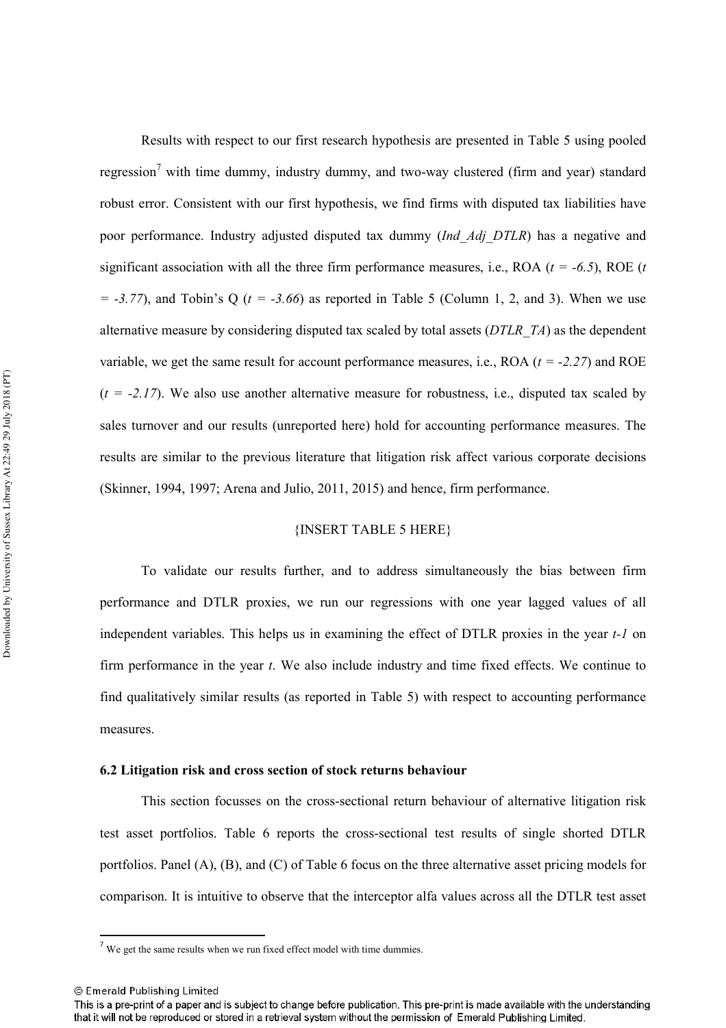Results with respect to our first research hypothesis are presented in Table 5 using pooled regression<sup>7</sup> with time dummy, industry dummy, and two-way clustered (firm and year) standard robust error. Consistent with our first hypothesis, we find firms with disputed tax liabilities have poor performance. Industry adjusted disputed tax dummy (Ind Adj DTLR) has a negative and significant association with all the three firm performance measures, i.e., ROA ( $t = -6.5$ ), ROE ( $t$  $= -3.77$ ), and Tobin's Q ( $t = -3.66$ ) as reported in Table 5 (Column 1, 2, and 3). When we use alternative measure by considering disputed tax scaled by total assets (DTLR TA) as the dependent variable, we get the same result for account performance measures, i.e., ROA  $(t = -2.27)$  and ROE  $(t = -2.17)$ . We also use another alternative measure for robustness, i.e., disputed tax scaled by sales turnover and our results (unreported here) hold for accounting performance measures. The results are similar to the previous literature that litigation risk affect various corporate decisions (Skinner, 1994, 1997; Arena and Julio, 2011, 2015) and hence, firm performance.

## {INSERT TABLE 5 HERE}

To validate our results further, and to address simultaneously the bias between firm performance and DTLR proxies, we run our regressions with one year lagged values of all independent variables. This helps us in examining the effect of DTLR proxies in the year t-1 on firm performance in the year  $t$ . We also include industry and time fixed effects. We continue to find qualitatively similar results (as reported in Table 5) with respect to accounting performance measures.

#### 6.2 Litigation risk and cross section of stock returns behaviour

This section focusses on the cross-sectional return behaviour of alternative litigation risk test asset portfolios. Table 6 reports the cross-sectional test results of single shorted DTLR portfolios. Panel (A), (B), and (C) of Table 6 focus on the three alternative asset pricing models for comparison. It is intuitive to observe that the interceptor alfa values across all the DTLR test asset

 $7$  We get the same results when we run fixed effect model with time dummies.

<sup>©</sup> Emerald Publishing Limited

This is a pre-print of a paper and is subject to change before publication. This pre-print is made available with the understanding that it will not be reproduced or stored in a retrieval system without the permission of Emerald Publishing Limited.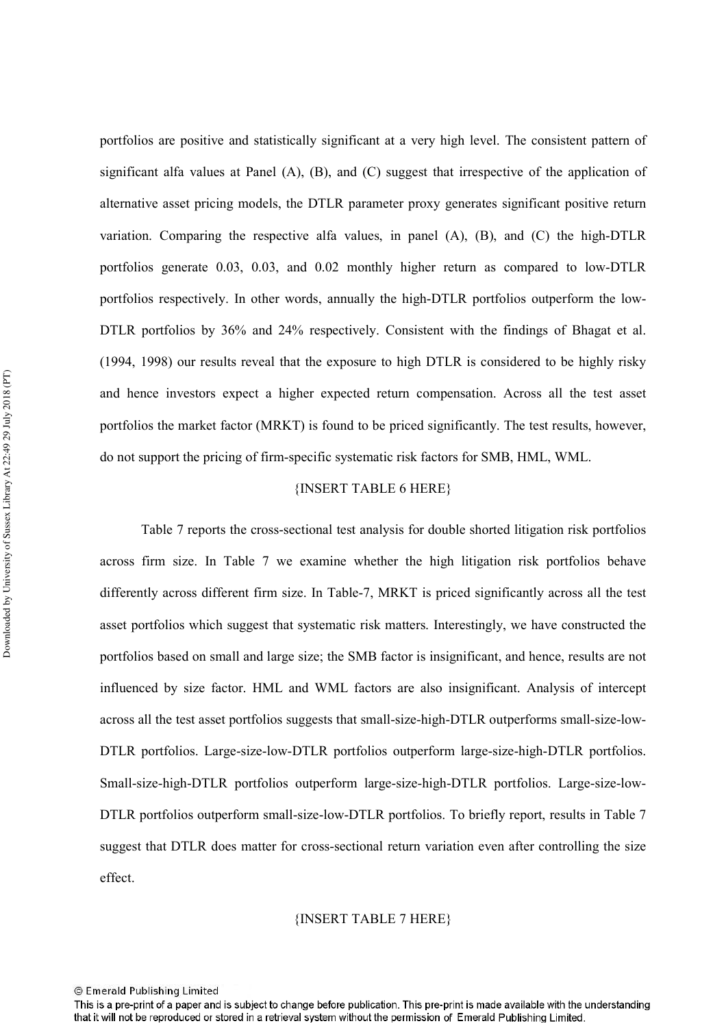portfolios are positive and statistically significant at a very high level. The consistent pattern of significant alfa values at Panel (A), (B), and (C) suggest that irrespective of the application of alternative asset pricing models, the DTLR parameter proxy generates significant positive return variation. Comparing the respective alfa values, in panel  $(A)$ ,  $(B)$ , and  $(C)$  the high-DTLR portfolios generate 0.03, 0.03, and 0.02 monthly higher return as compared to low-DTLR portfolios respectively. In other words, annually the high-DTLR portfolios outperform the low-DTLR portfolios by 36% and 24% respectively. Consistent with the findings of Bhagat et al. (1994, 1998) our results reveal that the exposure to high DTLR is considered to be highly risky and hence investors expect a higher expected return compensation. Across all the test asset portfolios the market factor (MRKT) is found to be priced significantly. The test results, however, do not support the pricing of firm-specific systematic risk factors for SMB, HML, WML.

## {INSERT TABLE 6 HERE}

Table 7 reports the cross-sectional test analysis for double shorted litigation risk portfolios across firm size. In Table 7 we examine whether the high litigation risk portfolios behave differently across different firm size. In Table-7, MRKT is priced significantly across all the test asset portfolios which suggest that systematic risk matters. Interestingly, we have constructed the portfolios based on small and large size; the SMB factor is insignificant, and hence, results are not influenced by size factor. HML and WML factors are also insignificant. Analysis of intercept across all the test asset portfolios suggests that small-size-high-DTLR outperforms small-size-low-DTLR portfolios. Large-size-low-DTLR portfolios outperform large-size-high-DTLR portfolios. Small-size-high-DTLR portfolios outperform large-size-high-DTLR portfolios. Large-size-low-DTLR portfolios outperform small-size-low-DTLR portfolios. To briefly report, results in Table 7 suggest that DTLR does matter for cross-sectional return variation even after controlling the size effect

#### {INSERT TABLE 7 HERE}

<sup>©</sup> Emerald Publishing Limited

This is a pre-print of a paper and is subject to change before publication. This pre-print is made available with the understanding that it will not be reproduced or stored in a retrieval system without the permission of Emerald Publishing Limited.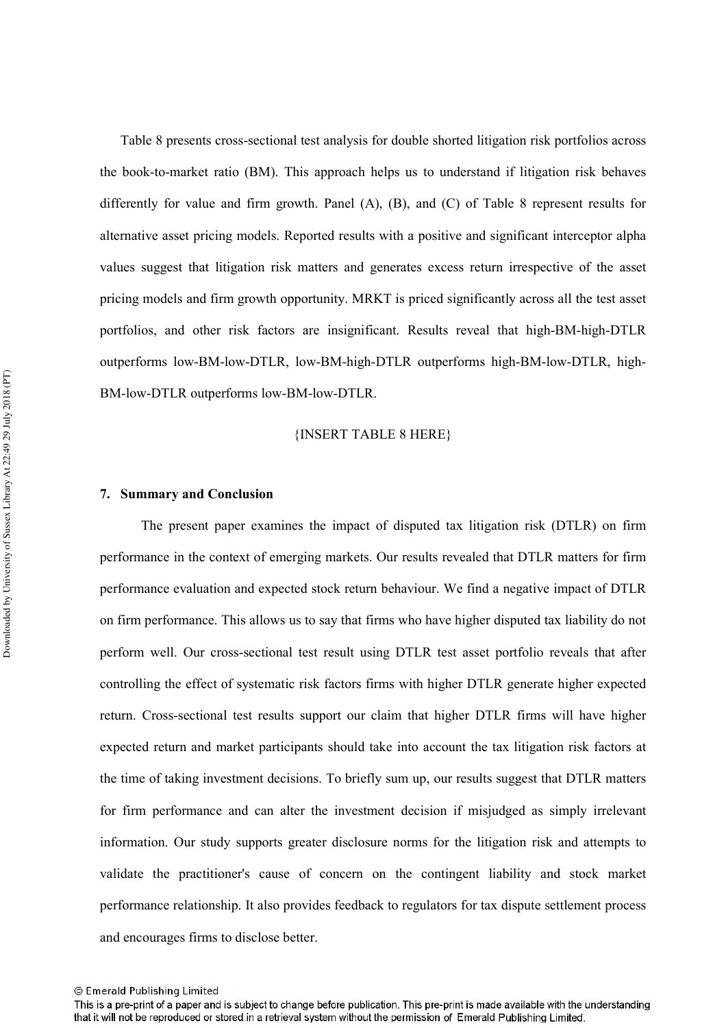Table 8 presents cross-sectional test analysis for double shorted litigation risk portfolios across the book-to-market ratio (BM). This approach helps us to understand if litigation risk behaves differently for value and firm growth. Panel (A), (B), and (C) of Table 8 represent results for alternative asset pricing models. Reported results with a positive and significant interceptor alpha values suggest that litigation risk matters and generates excess return irrespective of the asset pricing models and firm growth opportunity. MRKT is priced significantly across all the test asset portfolios, and other risk factors are insignificant. Results reveal that high-BM-high-DTLR outperforms low-BM-low-DTLR, low-BM-high-DTLR outperforms high-BM-low-DTLR, high-BM-low-DTLR outperforms low-BM-low-DTLR.

{INSERT TABLE 8 HERE}

#### 7. Summary and Conclusion

The present paper examines the impact of disputed tax litigation risk (DTLR) on firm performance in the context of emerging markets. Our results revealed that DTLR matters for firm performance evaluation and expected stock return behaviour. We find a negative impact of DTLR on firm performance. This allows us to say that firms who have higher disputed tax liability do not perform well. Our cross-sectional test result using DTLR test asset portfolio reveals that after controlling the effect of systematic risk factors firms with higher DTLR generate higher expected return. Cross-sectional test results support our claim that higher DTLR firms will have higher expected return and market participants should take into account the tax litigation risk factors at the time of taking investment decisions. To briefly sum up, our results suggest that DTLR matters for firm performance and can alter the investment decision if misjudged as simply irrelevant information. Our study supports greater disclosure norms for the litigation risk and attempts to validate the practitioner's cause of concern on the contingent liability and stock market performance relationship. It also provides feedback to regulators for tax dispute settlement process and encourages firms to disclose better.

<sup>©</sup> Emerald Publishing Limited

This is a pre-print of a paper and is subject to change before publication. This pre-print is made available with the understanding that it will not be reproduced or stored in a retrieval system without the permission of Emerald Publishing Limited.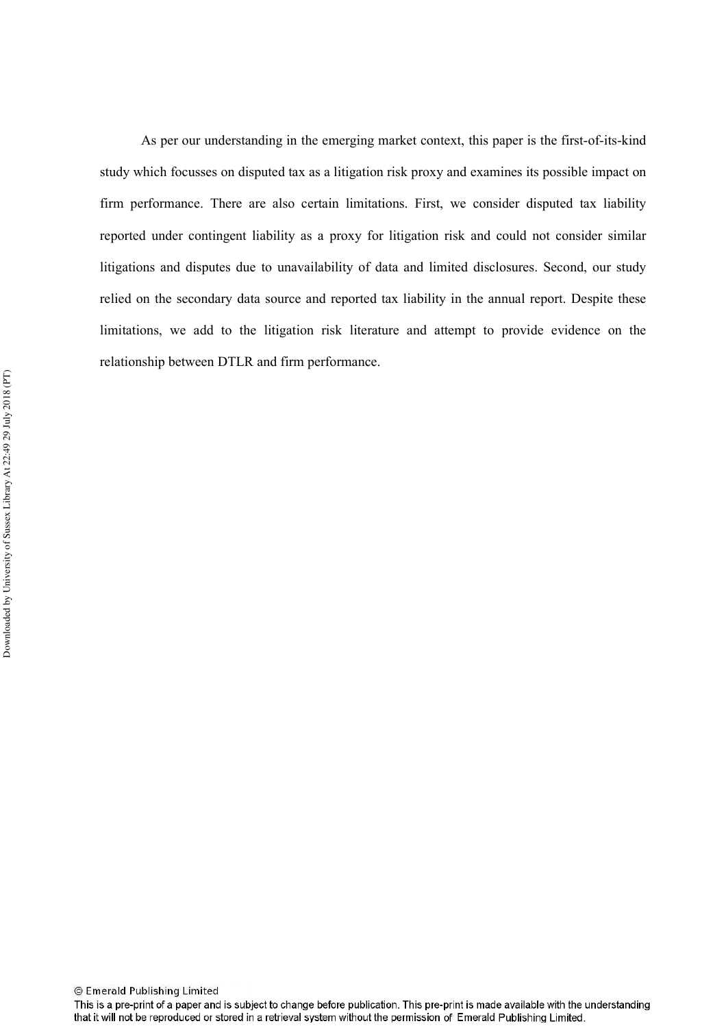As per our understanding in the emerging market context, this paper is the first-of-its-kind study which focusses on disputed tax as a litigation risk proxy and examines its possible impact on firm performance. There are also certain limitations. First, we consider disputed tax liability reported under contingent liability as a proxy for litigation risk and could not consider similar litigations and disputes due to unavailability of data and limited disclosures. Second, our study relied on the secondary data source and reported tax liability in the annual report. Despite these limitations, we add to the litigation risk literature and attempt to provide evidence on the relationship between DTLR and firm performance.

This is a pre-print of a paper and is subject to change before publication. This pre-print is made available with the understanding that it will not be reproduced or stored in a retrieval system without the permission of Emerald Publishing Limited.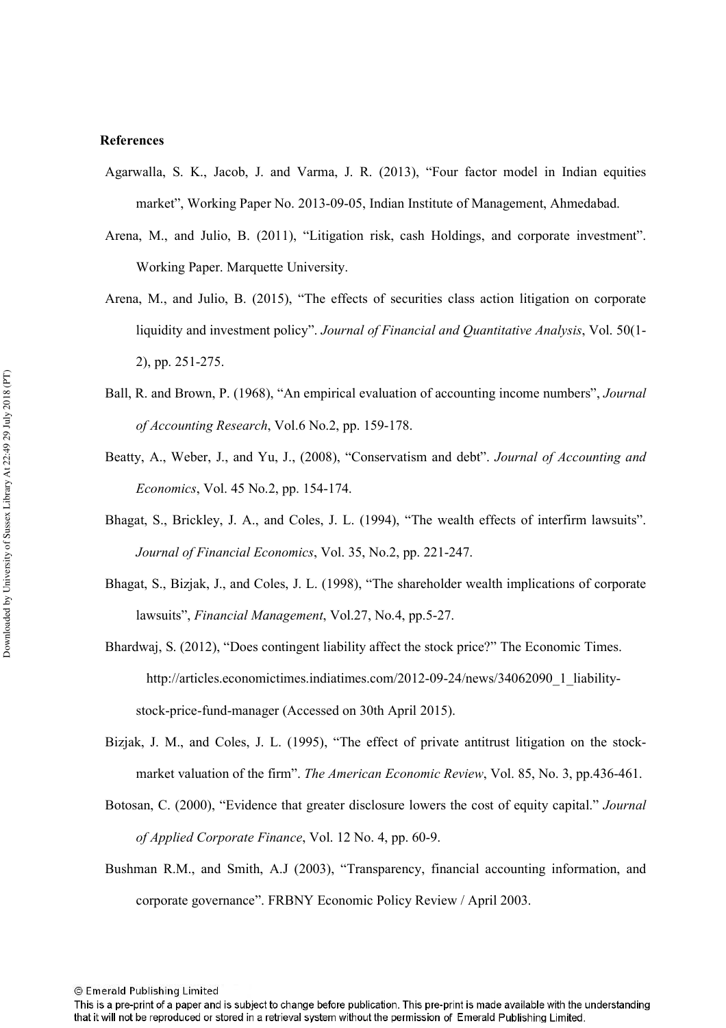#### **References**

- Agarwalla, S. K., Jacob, J. and Varma, J. R. (2013), "Four factor model in Indian equities market", Working Paper No. 2013-09-05, Indian Institute of Management, Ahmedabad.
- Arena, M., and Julio, B. (2011), "Litigation risk, cash Holdings, and corporate investment". Working Paper. Marquette University.
- Arena, M., and Julio, B. (2015), "The effects of securities class action litigation on corporate liquidity and investment policy". Journal of Financial and Quantitative Analysis, Vol. 50(1-2), pp. 251-275.
- Ball, R. and Brown, P. (1968), "An empirical evaluation of accounting income numbers", Journal of Accounting Research, Vol.6 No.2, pp. 159-178.
- Beatty, A., Weber, J., and Yu, J., (2008), "Conservatism and debt". Journal of Accounting and *Economics*, Vol. 45 No.2, pp. 154-174.
- Bhagat, S., Brickley, J. A., and Coles, J. L. (1994), "The wealth effects of interfirm lawsuits". Journal of Financial Economics, Vol. 35, No.2, pp. 221-247.
- Bhagat, S., Bizjak, J., and Coles, J. L. (1998), "The shareholder wealth implications of corporate lawsuits", Financial Management, Vol.27, No.4, pp.5-27.
- Bhardwaj, S. (2012), "Does contingent liability affect the stock price?" The Economic Times. http://articles.economictimes.indiatimes.com/2012-09-24/news/34062090 1 liabilitystock-price-fund-manager (Accessed on 30th April 2015).
- Bizjak, J. M., and Coles, J. L. (1995), "The effect of private antitrust litigation on the stockmarket valuation of the firm". The American Economic Review, Vol. 85, No. 3, pp.436-461.
- Botosan, C. (2000), "Evidence that greater disclosure lowers the cost of equity capital." Journal of Applied Corporate Finance, Vol. 12 No. 4, pp. 60-9.
- Bushman R.M., and Smith, A.J (2003), "Transparency, financial accounting information, and corporate governance". FRBNY Economic Policy Review / April 2003.

This is a pre-print of a paper and is subject to change before publication. This pre-print is made available with the understanding that it will not be reproduced or stored in a retrieval system without the permission of Emerald Publishing Limited.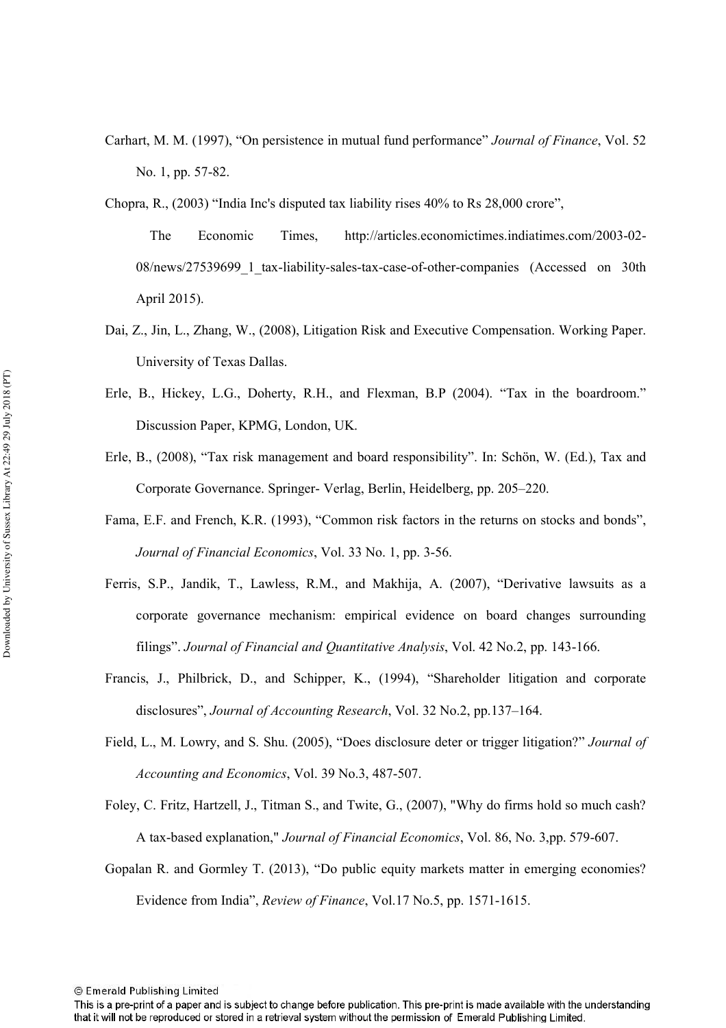- Carhart, M. M. (1997), "On persistence in mutual fund performance" Journal of Finance, Vol. 52 No. 1, pp. 57-82.
- Chopra, R., (2003) "India Inc's disputed tax liability rises 40% to Rs 28,000 crore",

The Economic http://articles.economictimes.indiatimes.com/2003-02-Times. 08/news/27539699 1 tax-liability-sales-tax-case-of-other-companies (Accessed on 30th April 2015).

- Dai, Z., Jin, L., Zhang, W., (2008), Litigation Risk and Executive Compensation. Working Paper. University of Texas Dallas.
- Erle, B., Hickey, L.G., Doherty, R.H., and Flexman, B.P (2004). "Tax in the boardroom." Discussion Paper, KPMG, London, UK.
- Erle, B., (2008), "Tax risk management and board responsibility". In: Schön, W. (Ed.), Tax and Corporate Governance. Springer-Verlag, Berlin, Heidelberg, pp. 205–220.
- Fama, E.F. and French, K.R. (1993), "Common risk factors in the returns on stocks and bonds", Journal of Financial Economics, Vol. 33 No. 1, pp. 3-56.
- Ferris, S.P., Jandik, T., Lawless, R.M., and Makhija, A. (2007), "Derivative lawsuits as a corporate governance mechanism: empirical evidence on board changes surrounding filings". Journal of Financial and Quantitative Analysis, Vol. 42 No.2, pp. 143-166.
- Francis, J., Philbrick, D., and Schipper, K., (1994), "Shareholder litigation and corporate disclosures", Journal of Accounting Research, Vol. 32 No.2, pp.137–164.
- Field, L., M. Lowry, and S. Shu. (2005), "Does disclosure deter or trigger litigation?" Journal of Accounting and Economics, Vol. 39 No.3, 487-507.
- Foley, C. Fritz, Hartzell, J., Titman S., and Twite, G., (2007), "Why do firms hold so much cash? A tax-based explanation," Journal of Financial Economics, Vol. 86, No. 3,pp. 579-607.
- Gopalan R. and Gormley T. (2013), "Do public equity markets matter in emerging economies? Evidence from India", Review of Finance, Vol.17 No.5, pp. 1571-1615.

This is a pre-print of a paper and is subject to change before publication. This pre-print is made available with the understanding that it will not be reproduced or stored in a retrieval system without the permission of Emerald Publishing Limited.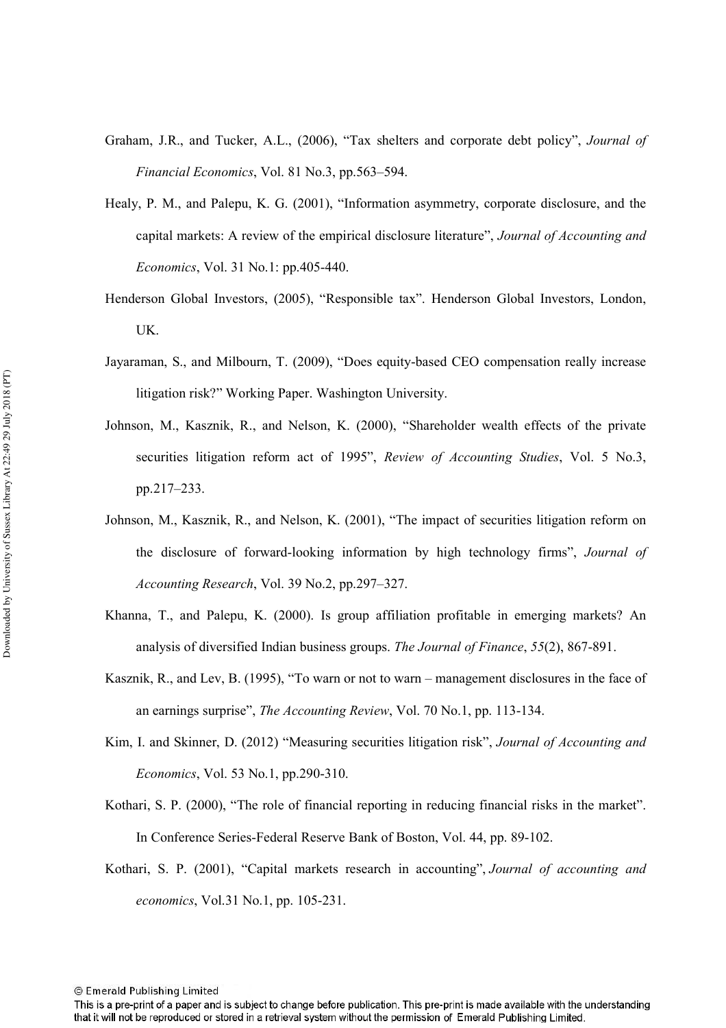- Graham, J.R., and Tucker, A.L., (2006), "Tax shelters and corporate debt policy", Journal of *Financial Economics*, Vol. 81 No.3, pp.563–594.
- Healy, P. M., and Palepu, K. G. (2001), "Information asymmetry, corporate disclosure, and the capital markets: A review of the empirical disclosure literature", Journal of Accounting and *Economics*, Vol. 31 No.1: pp.405-440.
- Henderson Global Investors, (2005), "Responsible tax". Henderson Global Investors, London,  $UK.$
- Jayaraman, S., and Milbourn, T. (2009), "Does equity-based CEO compensation really increase litigation risk?" Working Paper. Washington University.
- Johnson, M., Kasznik, R., and Nelson, K. (2000), "Shareholder wealth effects of the private securities litigation reform act of 1995", Review of Accounting Studies, Vol. 5 No.3, pp.217-233.
- Johnson, M., Kasznik, R., and Nelson, K. (2001), "The impact of securities litigation reform on the disclosure of forward-looking information by high technology firms", Journal of *Accounting Research, Vol. 39 No.2, pp.297–327.*
- Khanna, T., and Palepu, K. (2000). Is group affiliation profitable in emerging markets? An analysis of diversified Indian business groups. The Journal of Finance, 55(2), 867-891.
- Kasznik, R., and Lev, B. (1995), "To warn or not to warn management disclosures in the face of an earnings surprise", *The Accounting Review*, Vol. 70 No.1, pp. 113-134.
- Kim, I. and Skinner, D. (2012) "Measuring securities litigation risk", Journal of Accounting and *Economics*, Vol. 53 No.1, pp.290-310.
- Kothari, S. P. (2000), "The role of financial reporting in reducing financial risks in the market". In Conference Series-Federal Reserve Bank of Boston, Vol. 44, pp. 89-102.
- Kothari, S. P. (2001), "Capital markets research in accounting", Journal of accounting and *economics*, Vol.31 No.1, pp. 105-231.

This is a pre-print of a paper and is subject to change before publication. This pre-print is made available with the understanding that it will not be reproduced or stored in a retrieval system without the permission of Emerald Publishing Limited.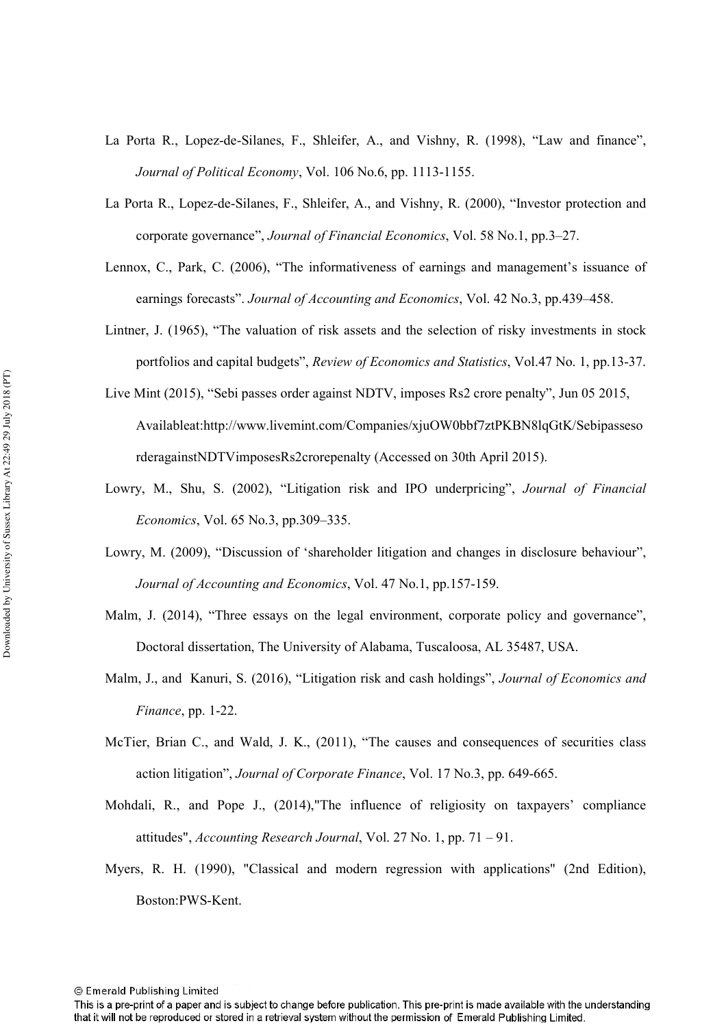- La Porta R., Lopez-de-Silanes, F., Shleifer, A., and Vishny, R. (1998), "Law and finance", Journal of Political Economy, Vol. 106 No.6, pp. 1113-1155.
- La Porta R., Lopez-de-Silanes, F., Shleifer, A., and Vishny, R. (2000), "Investor protection and corporate governance", *Journal of Financial Economics*, Vol. 58 No.1, pp.3–27.
- Lennox, C., Park, C. (2006), "The informativeness of earnings and management's issuance of earnings forecasts". Journal of Accounting and Economics, Vol. 42 No.3, pp.439–458.
- Lintner, J. (1965), "The valuation of risk assets and the selection of risky investments in stock portfolios and capital budgets", *Review of Economics and Statistics*, Vol.47 No. 1, pp.13-37.
- Live Mint (2015), "Sebi passes order against NDTV, imposes Rs2 crore penalty", Jun 05 2015, Availableat:http://www.livemint.com/Companies/xjuOW0bbf7ztPKBN8lqGtK/Sebipasseso rderagainstNDTVimposesRs2crorepenalty (Accessed on 30th April 2015).
- Lowry, M., Shu, S. (2002), "Litigation risk and IPO underpricing", Journal of Financial *Economics*, Vol. 65 No.3, pp.309–335.
- Lowry, M. (2009), "Discussion of 'shareholder litigation and changes in disclosure behaviour", Journal of Accounting and Economics, Vol. 47 No.1, pp.157-159.
- Malm, J. (2014), "Three essays on the legal environment, corporate policy and governance", Doctoral dissertation, The University of Alabama, Tuscaloosa, AL 35487, USA.
- Malm, J., and Kanuri, S. (2016), "Litigation risk and cash holdings", Journal of Economics and Finance, pp. 1-22.
- McTier, Brian C., and Wald, J. K., (2011), "The causes and consequences of securities class action litigation", Journal of Corporate Finance, Vol. 17 No.3, pp. 649-665.
- Mohdali, R., and Pope J., (2014). The influence of religiosity on taxpayers' compliance attitudes", Accounting Research Journal, Vol. 27 No. 1, pp. 71 - 91.
- Myers, R. H. (1990), "Classical and modern regression with applications" (2nd Edition), Boston:PWS-Kent.

This is a pre-print of a paper and is subject to change before publication. This pre-print is made available with the understanding that it will not be reproduced or stored in a retrieval system without the permission of Emerald Publishing Limited.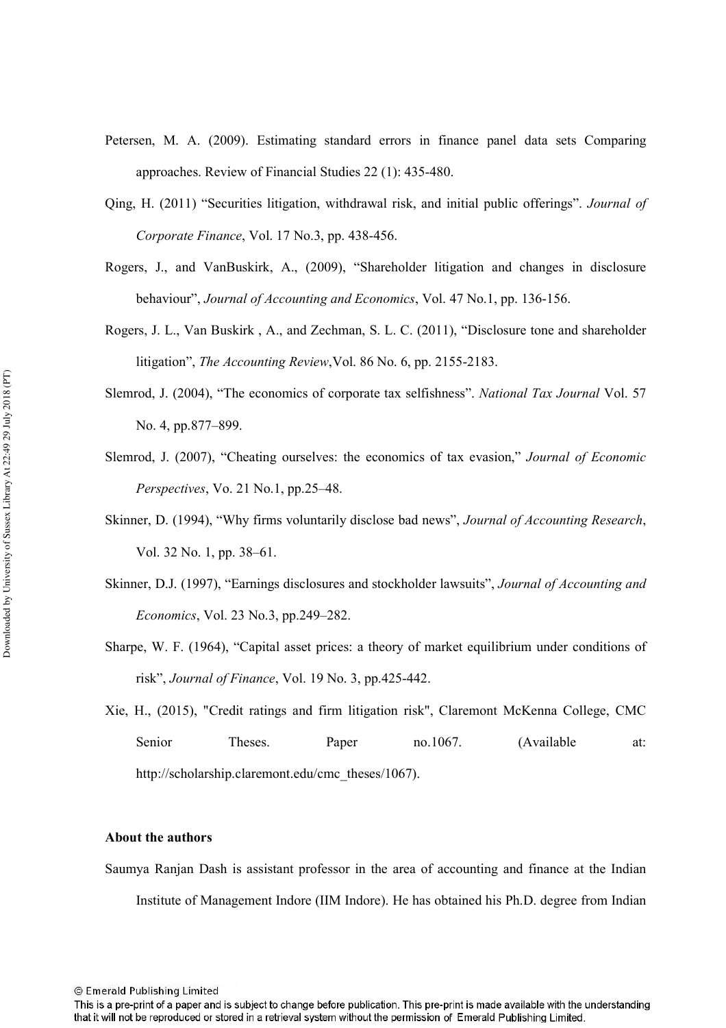- Petersen, M. A. (2009). Estimating standard errors in finance panel data sets Comparing approaches. Review of Financial Studies 22 (1): 435-480.
- Qing, H. (2011) "Securities litigation, withdrawal risk, and initial public offerings". Journal of *Corporate Finance, Vol. 17 No.3, pp. 438-456.*
- Rogers, J., and VanBuskirk, A., (2009), "Shareholder litigation and changes in disclosure behaviour", *Journal of Accounting and Economics*, Vol. 47 No.1, pp. 136-156.
- Rogers, J. L., Van Buskirk, A., and Zechman, S. L. C. (2011), "Disclosure tone and shareholder litigation", *The Accounting Review*, Vol. 86 No. 6, pp. 2155-2183.
- Slemrod, J. (2004), "The economics of corporate tax selfishness". National Tax Journal Vol. 57 No. 4, pp.877–899.
- Slemrod, J. (2007), "Cheating ourselves: the economics of tax evasion," Journal of Economic *Perspectives, Vo. 21 No.1, pp.25–48.*
- Skinner, D. (1994), "Why firms voluntarily disclose bad news", *Journal of Accounting Research*, Vol. 32 No. 1, pp. 38–61.
- Skinner, D.J. (1997), "Earnings disclosures and stockholder lawsuits", Journal of Accounting and *Economics*, Vol. 23 No.3, pp.249-282.
- Sharpe, W. F. (1964), "Capital asset prices: a theory of market equilibrium under conditions of risk", *Journal of Finance*, Vol. 19 No. 3, pp.425-442.
- Xie, H., (2015), "Credit ratings and firm litigation risk", Claremont McKenna College, CMC Senior r Theses Paper no.1067. (Available at: http://scholarship.claremont.edu/cmc\_theses/1067).

#### **About the authors**

Saumya Ranjan Dash is assistant professor in the area of accounting and finance at the Indian Institute of Management Indore (IIM Indore). He has obtained his Ph.D. degree from Indian

This is a pre-print of a paper and is subject to change before publication. This pre-print is made available with the understanding that it will not be reproduced or stored in a retrieval system without the permission of Emerald Publishing Limited.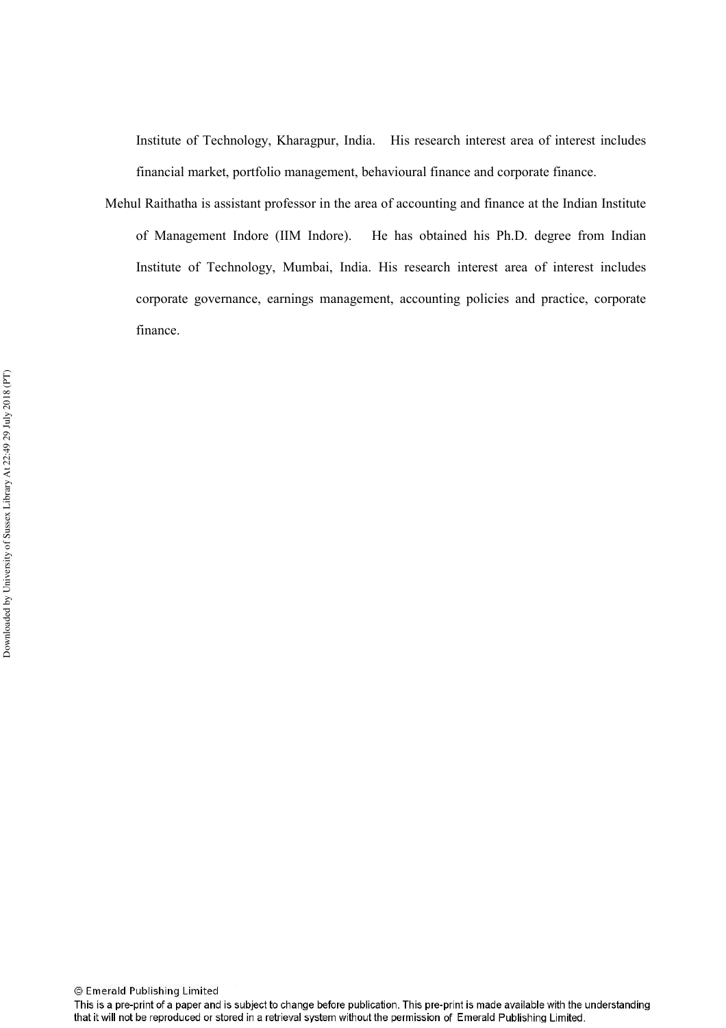Institute of Technology, Kharagpur, India. His research interest area of interest includes financial market, portfolio management, behavioural finance and corporate finance.

Mehul Raithatha is assistant professor in the area of accounting and finance at the Indian Institute of Management Indore (IIM Indore). He has obtained his Ph.D. degree from Indian Institute of Technology, Mumbai, India. His research interest area of interest includes corporate governance, earnings management, accounting policies and practice, corporate finance.

This is a pre-print of a paper and is subject to change before publication. This pre-print is made available with the understanding that it will not be reproduced or stored in a retrieval system without the permission of Emerald Publishing Limited.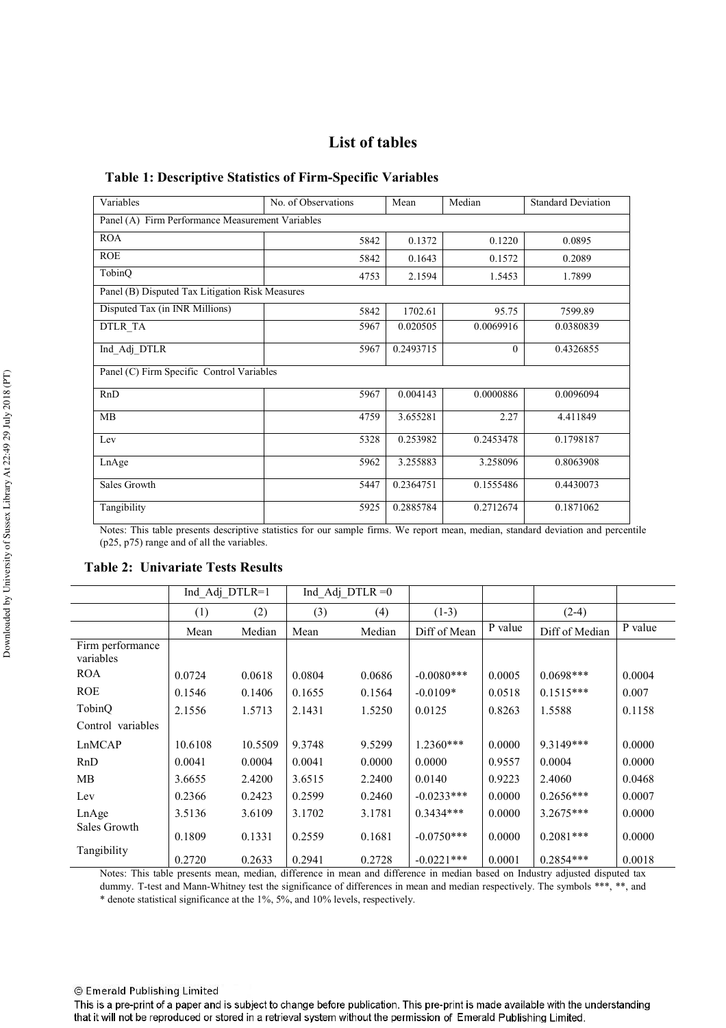# **List of tables**

#### Table 1: Descriptive Statistics of Firm-Specific Variables

| Variables                                        | No. of Observations | Mean      | Median    | <b>Standard Deviation</b> |
|--------------------------------------------------|---------------------|-----------|-----------|---------------------------|
| Panel (A) Firm Performance Measurement Variables |                     |           |           |                           |
| <b>ROA</b>                                       | 5842                | 0.1372    | 0.1220    | 0.0895                    |
| <b>ROE</b>                                       | 5842                | 0.1643    | 0.1572    | 0.2089                    |
| TobinQ                                           | 4753                | 2.1594    | 1.5453    | 1.7899                    |
| Panel (B) Disputed Tax Litigation Risk Measures  |                     |           |           |                           |
| Disputed Tax (in INR Millions)                   | 5842                | 1702.61   | 95.75     | 7599.89                   |
| DTLR_TA                                          | 5967                | 0.020505  | 0.0069916 | 0.0380839                 |
| Ind Adj DTLR                                     | 5967                | 0.2493715 | $\theta$  | 0.4326855                 |
| Panel (C) Firm Specific Control Variables        |                     |           |           |                           |
| RnD                                              | 5967                | 0.004143  | 0.0000886 | 0.0096094                 |
| <b>MB</b>                                        | 4759                | 3.655281  | 2.27      | 4.411849                  |
| Lev                                              | 5328                | 0.253982  | 0.2453478 | 0.1798187                 |
| LnAge                                            | 5962                | 3.255883  | 3.258096  | 0.8063908                 |
| Sales Growth                                     | 5447                | 0.2364751 | 0.1555486 | 0.4430073                 |
| Tangibility                                      | 5925                | 0.2885784 | 0.2712674 | 0.1871062                 |

Notes: This table presents descriptive statistics for our sample firms. We report mean, median, standard deviation and percentile (p25, p75) range and of all the variables.

## **Table 2: Univariate Tests Results**

|                               | Ind Adj DTLR=1 |         |        | Ind Adj DTLR $=0$ |              |         |                |         |
|-------------------------------|----------------|---------|--------|-------------------|--------------|---------|----------------|---------|
|                               | (1)            | (2)     | (3)    | (4)               | $(1-3)$      |         | $(2-4)$        |         |
|                               | Mean           | Median  | Mean   | Median            | Diff of Mean | P value | Diff of Median | P value |
| Firm performance<br>variables |                |         |        |                   |              |         |                |         |
| <b>ROA</b>                    | 0.0724         | 0.0618  | 0.0804 | 0.0686            | $-0.0080***$ | 0.0005  | $0.0698***$    | 0.0004  |
| <b>ROE</b>                    | 0.1546         | 0.1406  | 0.1655 | 0.1564            | $-0.0109*$   | 0.0518  | $0.1515***$    | 0.007   |
| TobinQ                        | 2.1556         | 1.5713  | 2.1431 | 1.5250            | 0.0125       | 0.8263  | 1.5588         | 0.1158  |
| Control variables             |                |         |        |                   |              |         |                |         |
| LnMCAP                        | 10.6108        | 10.5509 | 9.3748 | 9.5299            | $1.2360***$  | 0.0000  | 9.3149***      | 0.0000  |
| RnD                           | 0.0041         | 0.0004  | 0.0041 | 0.0000            | 0.0000       | 0.9557  | 0.0004         | 0.0000  |
| <b>MB</b>                     | 3.6655         | 2.4200  | 3.6515 | 2.2400            | 0.0140       | 0.9223  | 2.4060         | 0.0468  |
| Lev                           | 0.2366         | 0.2423  | 0.2599 | 0.2460            | $-0.0233***$ | 0.0000  | $0.2656***$    | 0.0007  |
| LnAge                         | 3.5136         | 3.6109  | 3.1702 | 3.1781            | $0.3434***$  | 0.0000  | $3.2675***$    | 0.0000  |
| Sales Growth                  | 0.1809         | 0.1331  | 0.2559 | 0.1681            | $-0.0750***$ | 0.0000  | $0.2081***$    | 0.0000  |
| Tangibility                   | 0.2720         | 0.2633  | 0.2941 | 0.2728            | $-0.0221***$ | 0.0001  | $0.2854***$    | 0.0018  |

Notes: This table presents mean, median, difference in mean and difference in median based on Industry adjusted disputed tax dummy. T-test and Mann-Whitney test the significance of differences in mean and median respectively. The symbols \*\*\*, \*\*, and

\* denote statistical significance at the 1%, 5%, and 10% levels, respectively.

© Emerald Publishing Limited

This is a pre-print of a paper and is subject to change before publication. This pre-print is made available with the understanding that it will not be reproduced or stored in a retrieval system without the permission of Emerald Publishing Limited.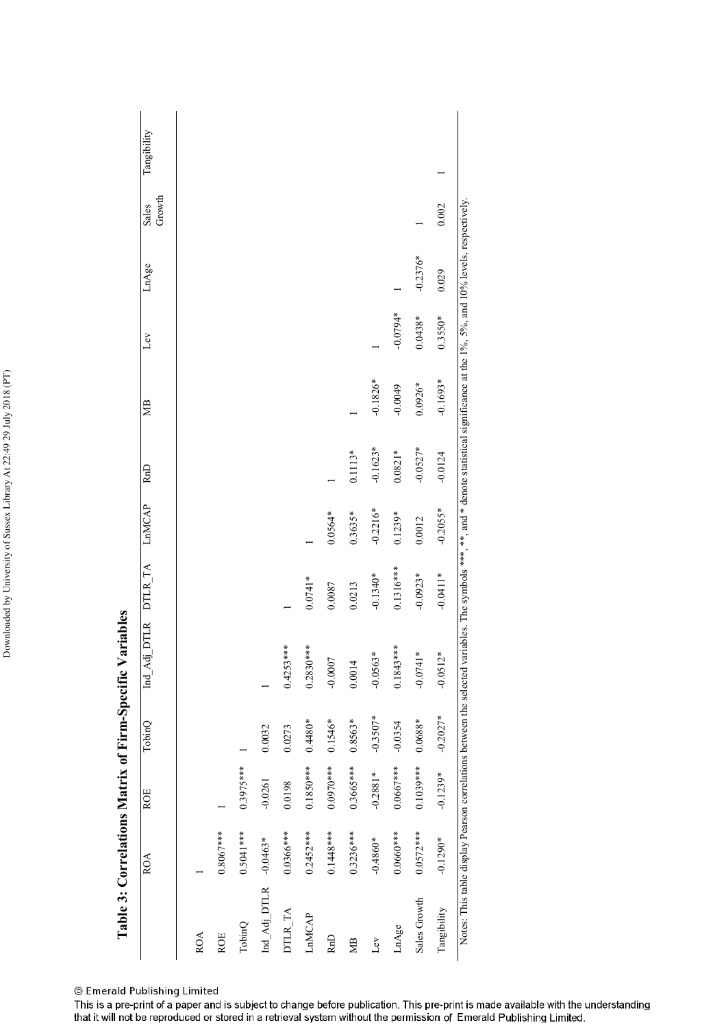| ĺ                     |
|-----------------------|
|                       |
|                       |
| ֡֡֡֡֡֡֡               |
| I                     |
|                       |
|                       |
|                       |
|                       |
| i<br>I<br>١<br>ı<br>I |
| j                     |
|                       |
| ۱<br>l<br>í           |
| í<br>l                |
| l                     |
|                       |
|                       |
|                       |
| ļ                     |

| ֧֪֦֧֪֧֪֧֧֖֧֖֧֖֧֧֪֪֪֪֪֪֛֪֪֛֪֪֛֪֪֪֪֪֪֪֛֚֚֚֚֚֚֚֚֚֚֞֝֬֝֬֝֬֝֬֓֝֬֝֬֝֬֝֬֝֬֓֝֬֝֓֝֬֝֬֝֬֝֬֝֬ |       |
|------------------------------------------------------------------------------------|-------|
| $\sim$                                                                             |       |
| $\mathbf{m}$ -b<br> <br> -<br> -<br>$\times$ of F.                                 |       |
| ŗ                                                                                  |       |
| relations N                                                                        |       |
| $Table 3$<br>$\vdash$                                                              | ز د د |

|                  | <b>ROA</b>  | <b>ROE</b>  | TobinQ     | Ind_Adj     | DTLR DTLR_TA | LnMCAP     | RnD        | ₩B         | Lev        | LnAge      | Growth<br>Sales | Tangibility |
|------------------|-------------|-------------|------------|-------------|--------------|------------|------------|------------|------------|------------|-----------------|-------------|
| <b>ROA</b>       |             |             |            |             |              |            |            |            |            |            |                 |             |
| <b>ROE</b>       | $0.8067***$ |             |            |             |              |            |            |            |            |            |                 |             |
| TobinQ           | $0.5041***$ | $0.3975***$ |            |             |              |            |            |            |            |            |                 |             |
| $Ind\_Adj\_DTLR$ | $-0.0463*$  | $-0.0261$   | 0.0032     |             |              |            |            |            |            |            |                 |             |
| DTLR_TA          | $0.0366***$ | 0.0198      | 0.0273     | $0.4253***$ |              |            |            |            |            |            |                 |             |
| LnMCAP           | $0.2452***$ | $0.1850***$ | $0.4480*$  | $0.2830***$ | $0.0741*$    |            |            |            |            |            |                 |             |
| R <sub>n</sub> D | $0.1448***$ | $0.0970***$ | $0.1546*$  | $-0.0007$   | 0.0087       | $0.0564*$  |            |            |            |            |                 |             |
| МB               | $0.3236***$ | $0.3665***$ | $0.8563*$  | 0.0014      | 0.0213       | $0.3635*$  | $0.1113*$  |            |            |            |                 |             |
| Ĺεν              | $-0.4860*$  | $-0.2881*$  | $-0.3507*$ | $-0.0563*$  | $-0.1340*$   | $-0.2216*$ | $-0.1623*$ | $-0.1826*$ |            |            |                 |             |
| LnAge            | $0.0660***$ | $0.0667***$ | $-0.0354$  | $0.1843***$ | $0.1316***$  | $0.1239*$  | $0.0821*$  | $-0.0049$  | $*80.00 -$ |            |                 |             |
| Sales Growth     | $0.0572***$ | $0.1039***$ | $0.0688*$  | $-0.0741*$  | $-0.0923*$   | 0.0012     | $-0.0527*$ | $0.0926*$  | $0.0438*$  | $-0.2376*$ |                 |             |
| Tangibility      | $-0.1290*$  | $-0.1239*$  | $-0.2027*$ | $-0.0512*$  | $-0.0411*$   | $-0.2055*$ | $-0.0124$  | $-0.1693*$ | $0.3550*$  | 0.029      | 0.002           |             |

© Emerald Publishing Limited<br>This is a pre-print of a paper and is subject to change before publication. This pre-print is made available with the understanding<br>that it will not be reproduced or stored in a retrieval syste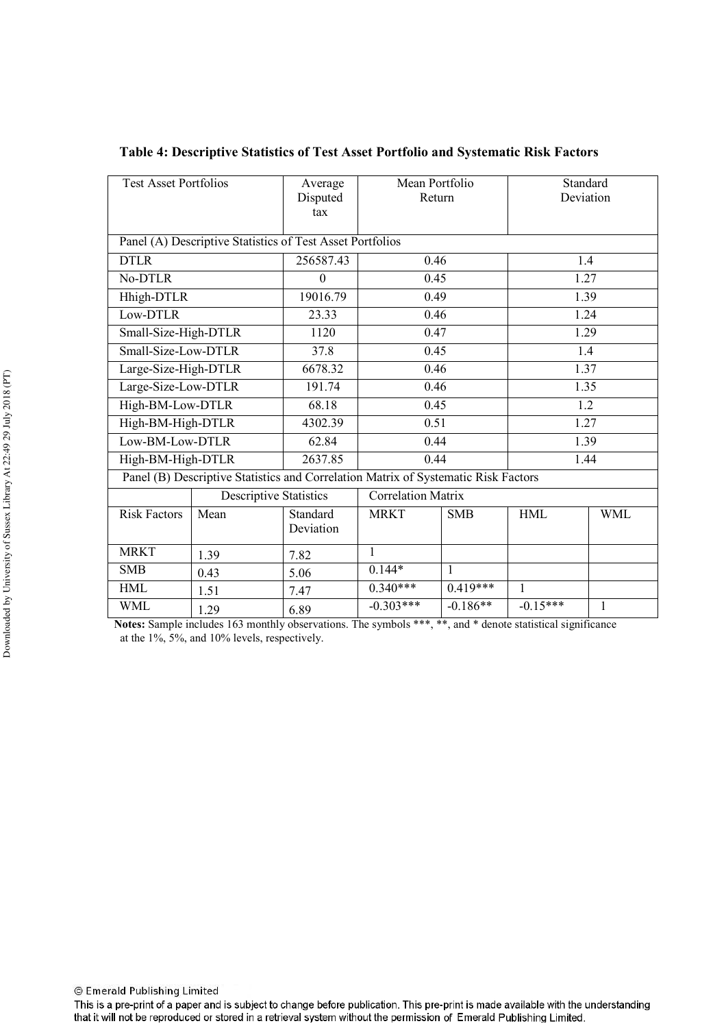| Average      | Mean Portfolio                                                                                                                                                                                                                           |                                                           |                                                                   |                                                                                    |  |  |
|--------------|------------------------------------------------------------------------------------------------------------------------------------------------------------------------------------------------------------------------------------------|-----------------------------------------------------------|-------------------------------------------------------------------|------------------------------------------------------------------------------------|--|--|
|              |                                                                                                                                                                                                                                          | Standard                                                  |                                                                   |                                                                                    |  |  |
| Disputed     |                                                                                                                                                                                                                                          | Return                                                    |                                                                   | Deviation                                                                          |  |  |
|              |                                                                                                                                                                                                                                          |                                                           |                                                                   |                                                                                    |  |  |
|              |                                                                                                                                                                                                                                          |                                                           |                                                                   |                                                                                    |  |  |
|              |                                                                                                                                                                                                                                          |                                                           |                                                                   |                                                                                    |  |  |
|              |                                                                                                                                                                                                                                          |                                                           |                                                                   | 1.4                                                                                |  |  |
| $\mathbf{0}$ |                                                                                                                                                                                                                                          |                                                           |                                                                   | 1.27                                                                               |  |  |
| 19016.79     |                                                                                                                                                                                                                                          |                                                           |                                                                   | 1.39                                                                               |  |  |
| 23.33        | 0.46<br>1.24                                                                                                                                                                                                                             |                                                           |                                                                   |                                                                                    |  |  |
| 1120         |                                                                                                                                                                                                                                          |                                                           |                                                                   | 1.29                                                                               |  |  |
| 37.8         |                                                                                                                                                                                                                                          |                                                           |                                                                   | 1.4                                                                                |  |  |
| 6678.32      |                                                                                                                                                                                                                                          | 0.46<br>1.37                                              |                                                                   |                                                                                    |  |  |
| 191.74       |                                                                                                                                                                                                                                          | 0.46                                                      |                                                                   | 1.35                                                                               |  |  |
| 68.18        |                                                                                                                                                                                                                                          | 0.45                                                      |                                                                   | 1.2                                                                                |  |  |
| 4302.39      |                                                                                                                                                                                                                                          | 0.51                                                      |                                                                   | 1.27                                                                               |  |  |
| 62.84        |                                                                                                                                                                                                                                          | 1.39                                                      |                                                                   | 0.44                                                                               |  |  |
| 2637.85      |                                                                                                                                                                                                                                          | 0.44<br>1.44                                              |                                                                   |                                                                                    |  |  |
|              |                                                                                                                                                                                                                                          |                                                           |                                                                   |                                                                                    |  |  |
|              |                                                                                                                                                                                                                                          |                                                           |                                                                   |                                                                                    |  |  |
| Standard     | <b>MRKT</b>                                                                                                                                                                                                                              | <b>SMB</b>                                                | <b>HML</b>                                                        | <b>WML</b>                                                                         |  |  |
| Deviation    |                                                                                                                                                                                                                                          |                                                           |                                                                   |                                                                                    |  |  |
|              | 1                                                                                                                                                                                                                                        |                                                           |                                                                   |                                                                                    |  |  |
| 5.06         | $0.144*$                                                                                                                                                                                                                                 | $\mathbf{1}$                                              |                                                                   |                                                                                    |  |  |
| 7.47         | $0.340***$                                                                                                                                                                                                                               | $0.419***$                                                | 1                                                                 |                                                                                    |  |  |
| 6.89         | $-0.303***$                                                                                                                                                                                                                              | $-0.186**$                                                | $-0.15***$                                                        | 1                                                                                  |  |  |
|              | tax<br>256587.43<br>Small-Size-High-DTLR<br>Small-Size-Low-DTLR<br>Large-Size-High-DTLR<br>Large-Size-Low-DTLR<br>High-BM-Low-DTLR<br>High-BM-High-DTLR<br>Low-BM-Low-DTLR<br>High-BM-High-DTLR<br><b>Descriptive Statistics</b><br>7.82 | Panel (A) Descriptive Statistics of Test Asset Portfolios | 0.46<br>0.45<br>0.49<br>0.47<br>0.45<br><b>Correlation Matrix</b> | Panel (B) Descriptive Statistics and Correlation Matrix of Systematic Risk Factors |  |  |

Table 4: Descriptive Statistics of Test Asset Portfolio and Systematic Risk Factors

Notes: Sample includes 163 monthly observations. The symbols \*\*\*, \*\*, and \* denote statistical significance at the 1%, 5%, and 10% levels, respectively.

© Emerald Publishing Limited

This is a pre-print of a paper and is subject to change before publication. This pre-print is made available with the understanding that it will not be reproduced or stored in a retrieval system without the permission of Emerald Publishing Limited.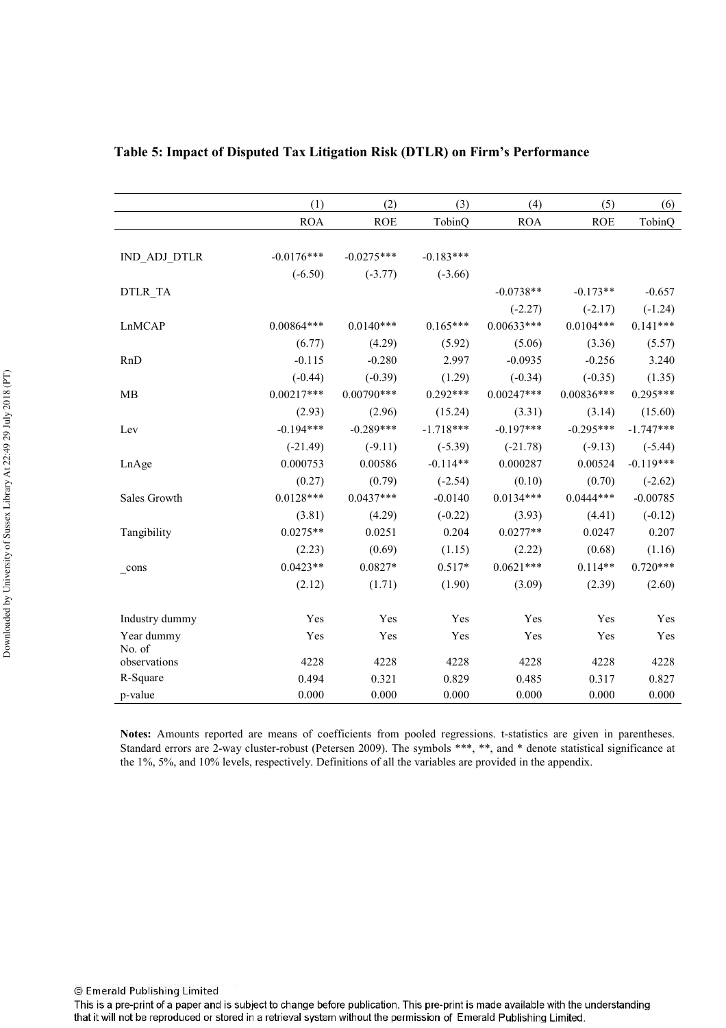| (1)          | (2)                    | (3)                    | (4)                    | (5)                    | (6)                    |
|--------------|------------------------|------------------------|------------------------|------------------------|------------------------|
| <b>ROA</b>   | <b>ROE</b>             | TobinQ                 | <b>ROA</b>             | <b>ROE</b>             | TobinQ                 |
|              |                        |                        |                        |                        |                        |
| $-0.0176***$ | $-0.0275***$           | $-0.183***$            |                        |                        |                        |
| $(-6.50)$    | $(-3.77)$              | $(-3.66)$              |                        |                        |                        |
|              |                        |                        | $-0.0738**$            | $-0.173**$             | $-0.657$               |
|              |                        |                        | $(-2.27)$              | $(-2.17)$              | $(-1.24)$              |
| $0.00864***$ | $0.0140***$            | $0.165***$             | $0.00633***$           | $0.0104***$            | $0.141***$             |
| (6.77)       | (4.29)                 | (5.92)                 | (5.06)                 | (3.36)                 | (5.57)                 |
| $-0.115$     | $-0.280$               | 2.997                  | $-0.0935$              | $-0.256$               | 3.240                  |
| $(-0.44)$    | $(-0.39)$              | (1.29)                 | $(-0.34)$              | $(-0.35)$              | (1.35)                 |
| $0.00217***$ | $0.00790***$           | $0.292***$             | $0.00247***$           | $0.00836***$           | $0.295***$             |
| (2.93)       | (2.96)                 | (15.24)                | (3.31)                 | (3.14)                 | (15.60)                |
| $-0.194***$  | $-0.289***$            | $-1.718***$            | $-0.197***$            | $-0.295***$            | $-1.747***$            |
| $(-21.49)$   | $(-9.11)$              | $(-5.39)$              | $(-21.78)$             | $(-9.13)$              | $(-5.44)$              |
| 0.000753     | 0.00586                | $-0.114**$             | 0.000287               | 0.00524                | $-0.119***$            |
| (0.27)       | (0.79)                 | $(-2.54)$              | (0.10)                 | (0.70)                 | $(-2.62)$              |
| $0.0128***$  | $0.0437***$            | $-0.0140$              | $0.0134***$            | $0.0444***$            | $-0.00785$             |
| (3.81)       | (4.29)                 | $(-0.22)$              | (3.93)                 | (4.41)                 | $(-0.12)$              |
| $0.0275**$   | 0.0251                 | 0.204                  | $0.0277**$             | 0.0247                 | 0.207                  |
| (2.23)       | (0.69)                 | (1.15)                 | (2.22)                 | (0.68)                 | (1.16)                 |
| $0.0423**$   | $0.0827*$              | $0.517*$               | $0.0621***$            | $0.114**$              | $0.720***$             |
| (2.12)       | (1.71)                 | (1.90)                 | (3.09)                 | (2.39)                 | (2.60)                 |
|              |                        |                        |                        |                        |                        |
| Yes          | Yes                    | Yes                    | Yes                    | Yes                    | Yes                    |
| Yes          | Yes                    | Yes                    | Yes                    | Yes                    | Yes                    |
|              |                        |                        |                        |                        | 4228                   |
|              |                        |                        |                        |                        | 0.827                  |
|              |                        |                        |                        |                        | 0.000                  |
|              | 4228<br>0.494<br>0.000 | 4228<br>0.321<br>0.000 | 4228<br>0.829<br>0.000 | 4228<br>0.485<br>0.000 | 4228<br>0.317<br>0.000 |

## Table 5: Impact of Disputed Tax Litigation Risk (DTLR) on Firm's Performance

Notes: Amounts reported are means of coefficients from pooled regressions. t-statistics are given in parentheses. Standard errors are 2-way cluster-robust (Petersen 2009). The symbols \*\*\*, \*\*, and \* denote statistical significance at the 1%, 5%, and 10% levels, respectively. Definitions of all the variables are provided in the appendix.

This is a pre-print of a paper and is subject to change before publication. This pre-print is made available with the understanding that it will not be reproduced or stored in a retrieval system without the permission of Emerald Publishing Limited.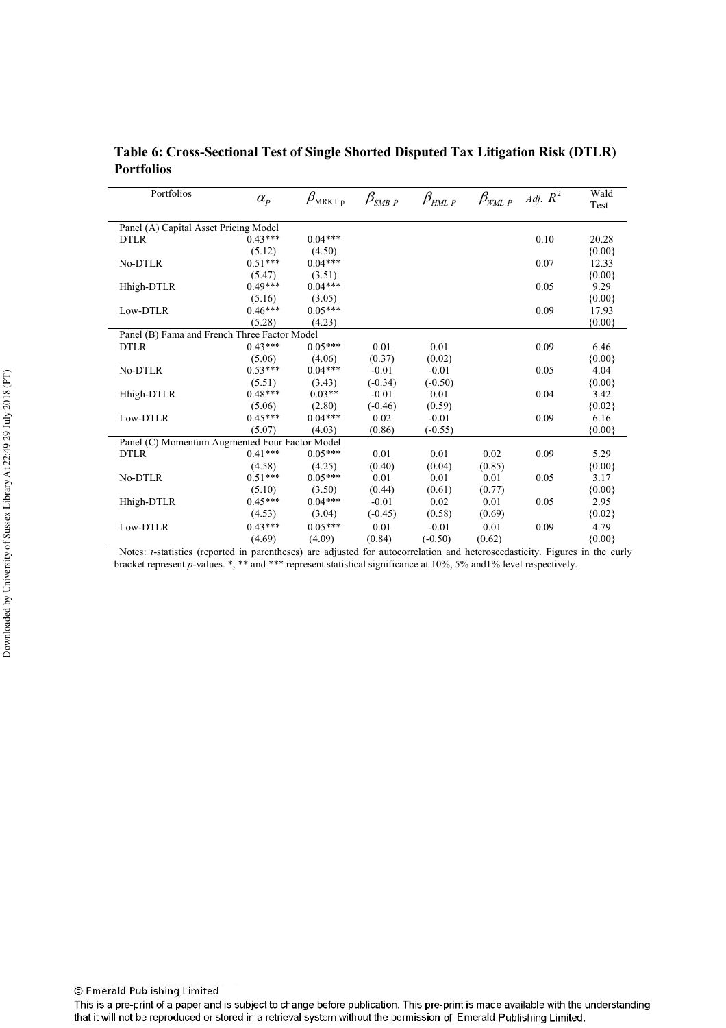| Table 6: Cross-Sectional Test of Single Shorted Disputed Tax Litigation Risk (DTLR) |  |  |
|-------------------------------------------------------------------------------------|--|--|
| Portfolios                                                                          |  |  |

| Portfolios                                     | $\alpha_{\scriptscriptstyle P}$ | $\beta_{\tt MRKT\,p}$ | $\beta_{\scriptscriptstyle \it SMB~P}$ | $\beta_{HML\,P}$ | $\beta_{\rm WML\;P}$ | Adj. $R^2$ | Wald<br>Test |
|------------------------------------------------|---------------------------------|-----------------------|----------------------------------------|------------------|----------------------|------------|--------------|
| Panel (A) Capital Asset Pricing Model          |                                 |                       |                                        |                  |                      |            |              |
| <b>DTLR</b>                                    | $0.43***$                       | $0.04***$             |                                        |                  |                      | 0.10       | 20.28        |
|                                                | (5.12)                          | (4.50)                |                                        |                  |                      |            | ${0.00}$     |
| No-DTLR                                        | $0.51***$                       | $0.04***$             |                                        |                  |                      | 0.07       | 12.33        |
|                                                | (5.47)                          | (3.51)                |                                        |                  |                      |            | ${0.00}$     |
| Hhigh-DTLR                                     | $0.49***$                       | $0.04***$             |                                        |                  |                      | 0.05       | 9.29         |
|                                                | (5.16)                          | (3.05)                |                                        |                  |                      |            | ${0.00}$     |
| Low-DTLR                                       | $0.46***$                       | $0.05***$             |                                        |                  |                      | 0.09       | 17.93        |
|                                                | (5.28)                          | (4.23)                |                                        |                  |                      |            | ${0.00}$     |
| Panel (B) Fama and French Three Factor Model   |                                 |                       |                                        |                  |                      |            |              |
| <b>DTLR</b>                                    | $0.43***$                       | $0.05***$             | 0.01                                   | 0.01             |                      | 0.09       | 6.46         |
|                                                | (5.06)                          | (4.06)                | (0.37)                                 | (0.02)           |                      |            | ${0.00}$     |
| No-DTLR                                        | $0.53***$                       | $0.04***$             | $-0.01$                                | $-0.01$          |                      | 0.05       | 4.04         |
|                                                | (5.51)                          | (3.43)                | $(-0.34)$                              | $(-0.50)$        |                      |            | ${0.00}$     |
| Hhigh-DTLR                                     | $0.48***$                       | $0.03**$              | $-0.01$                                | 0.01             |                      | 0.04       | 3.42         |
|                                                | (5.06)                          | (2.80)                | $(-0.46)$                              | (0.59)           |                      |            | ${0.02}$     |
| Low-DTLR                                       | $0.45***$                       | $0.04***$             | 0.02                                   | $-0.01$          |                      | 0.09       | 6.16         |
|                                                | (5.07)                          | (4.03)                | (0.86)                                 | $(-0.55)$        |                      |            | ${0.00}$     |
| Panel (C) Momentum Augmented Four Factor Model |                                 |                       |                                        |                  |                      |            |              |
| <b>DTLR</b>                                    | $0.41***$                       | $0.05***$             | 0.01                                   | 0.01             | 0.02                 | 0.09       | 5.29         |
|                                                | (4.58)                          | (4.25)                | (0.40)                                 | (0.04)           | (0.85)               |            | ${0.00}$     |
| No-DTLR                                        | $0.51***$                       | $0.05***$             | 0.01                                   | 0.01             | 0.01                 | 0.05       | 3.17         |
|                                                | (5.10)                          | (3.50)                | (0.44)                                 | (0.61)           | (0.77)               |            | ${0.00}$     |
| Hhigh-DTLR                                     | $0.45***$                       | $0.04***$             | $-0.01$                                | 0.02             | 0.01                 | 0.05       | 2.95         |
|                                                | (4.53)                          | (3.04)                | $(-0.45)$                              | (0.58)           | (0.69)               |            | ${0.02}$     |
| Low-DTLR                                       | $0.43***$                       | $0.05***$             | 0.01                                   | $-0.01$          | 0.01                 | 0.09       | 4.79         |
|                                                | (4.69)                          | (4.09)                | (0.84)                                 | $(-0.50)$        | (0.62)               |            | ${0.00}$     |

Notes: *t*-statistics (reported in parentheses) are adjusted for autocorrelation and heteroscedasticity. Figures in the curly bracket represent p-values.  $*$ ,  $**$  and  $***$  represent statistical significance at 10%, 5% and 1% level respectively.

This is a pre-print of a paper and is subject to change before publication. This pre-print is made available with the understanding that it will not be reproduced or stored in a retrieval system without the permission of Emerald Publishing Limited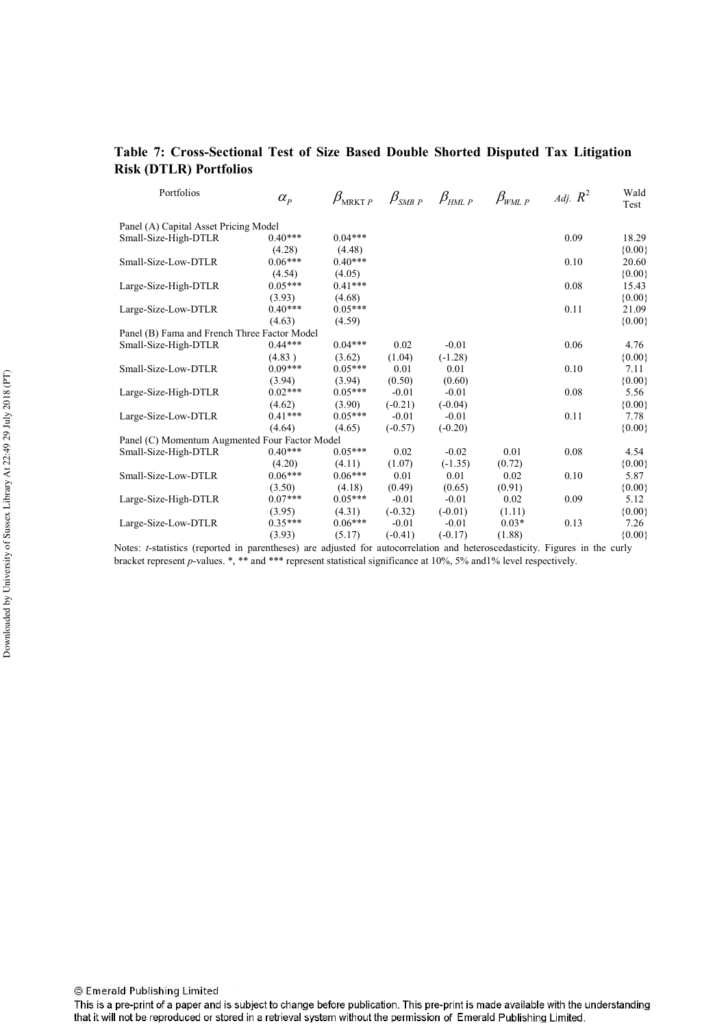# Table 7: Cross-Sectional Test of Size Based Double Shorted Disputed Tax Litigation **Risk (DTLR) Portfolios**

| Portfolios                                     | $\alpha_{\scriptscriptstyle P}$ | $\beta_{{\tiny \rm MRKT\,}P}$ | $\beta_{\scriptscriptstyle \it SMBP}$ $\beta_{\scriptscriptstyle \it HML\, P}$ |           | $\beta_{\rm WML\;P}$ | Adj. $R^2$ | Wald<br>Test |
|------------------------------------------------|---------------------------------|-------------------------------|--------------------------------------------------------------------------------|-----------|----------------------|------------|--------------|
| Panel (A) Capital Asset Pricing Model          |                                 |                               |                                                                                |           |                      |            |              |
| Small-Size-High-DTLR                           | $0.40***$                       | $0.04***$                     |                                                                                |           |                      | 0.09       | 18.29        |
|                                                | (4.28)                          | (4.48)                        |                                                                                |           |                      |            | ${0.00}$     |
| Small-Size-Low-DTLR                            | $0.06***$                       | $0.40***$                     |                                                                                |           |                      | 0.10       | 20.60        |
|                                                | (4.54)                          | (4.05)                        |                                                                                |           |                      |            | ${0.00}$     |
| Large-Size-High-DTLR                           | $0.05***$                       | $0.41***$                     |                                                                                |           |                      | 0.08       | 15.43        |
|                                                | (3.93)                          | (4.68)                        |                                                                                |           |                      |            | ${0.00}$     |
| Large-Size-Low-DTLR                            | $0.40***$                       | $0.05***$                     |                                                                                |           |                      | 0.11       | 21.09        |
|                                                | (4.63)                          | (4.59)                        |                                                                                |           |                      |            | ${0.00}$     |
| Panel (B) Fama and French Three Factor Model   |                                 |                               |                                                                                |           |                      |            |              |
| Small-Size-High-DTLR                           | $0.44***$                       | $0.04***$                     | 0.02                                                                           | $-0.01$   |                      | 0.06       | 4.76         |
|                                                | (4.83)                          | (3.62)                        | (1.04)                                                                         | $(-1.28)$ |                      |            | ${0.00}$     |
| Small-Size-Low-DTLR                            | $0.09***$                       | $0.05***$                     | 0.01                                                                           | 0.01      |                      | 0.10       | 7.11         |
|                                                | (3.94)                          | (3.94)                        | (0.50)                                                                         | (0.60)    |                      |            | ${0.00}$     |
| Large-Size-High-DTLR                           | $0.02***$                       | $0.05***$                     | $-0.01$                                                                        | $-0.01$   |                      | 0.08       | 5.56         |
|                                                | (4.62)                          | (3.90)                        | $(-0.21)$                                                                      | $(-0.04)$ |                      |            | ${0.00}$     |
| Large-Size-Low-DTLR                            | $0.41***$                       | $0.05***$                     | $-0.01$                                                                        | $-0.01$   |                      | 0.11       | 7.78         |
|                                                | (4.64)                          | (4.65)                        | $(-0.57)$                                                                      | $(-0.20)$ |                      |            | ${0.00}$     |
| Panel (C) Momentum Augmented Four Factor Model |                                 |                               |                                                                                |           |                      |            |              |
| Small-Size-High-DTLR                           | $0.40***$                       | $0.05***$                     | 0.02                                                                           | $-0.02$   | 0.01                 | 0.08       | 4.54         |
|                                                | (4.20)                          | (4.11)                        | (1.07)                                                                         | $(-1.35)$ | (0.72)               |            | ${0.00}$     |
| Small-Size-Low-DTLR                            | $0.06***$                       | $0.06***$                     | 0.01                                                                           | 0.01      | 0.02                 | 0.10       | 5.87         |
|                                                | (3.50)                          | (4.18)                        | (0.49)                                                                         | (0.65)    | (0.91)               |            | ${0.00}$     |
| Large-Size-High-DTLR                           | $0.07***$                       | $0.05***$                     | $-0.01$                                                                        | $-0.01$   | 0.02                 | 0.09       | 5.12         |
|                                                | (3.95)                          | (4.31)                        | $(-0.32)$                                                                      | $(-0.01)$ | (1.11)               |            | ${0.00}$     |
| Large-Size-Low-DTLR                            | $0.35***$                       | $0.06***$                     | $-0.01$                                                                        | $-0.01$   | $0.03*$              | 0.13       | 7.26         |
|                                                | (3.93)                          | (5.17)                        | $(-0.41)$                                                                      | $(-0.17)$ | (1.88)               |            | ${0.00}$     |

Notes: t-statistics (reported in parentheses) are adjusted for autocorrelation and heteroscedasticity. Figures in the curly bracket represent p-values. \*, \*\* and \*\*\* represent statistical significance at 10%, 5% and 1% level respectively.

This is a pre-print of a paper and is subject to change before publication. This pre-print is made available with the understanding that it will not be reproduced or stored in a retrieval system without the permission of Emerald Publishing Limited.